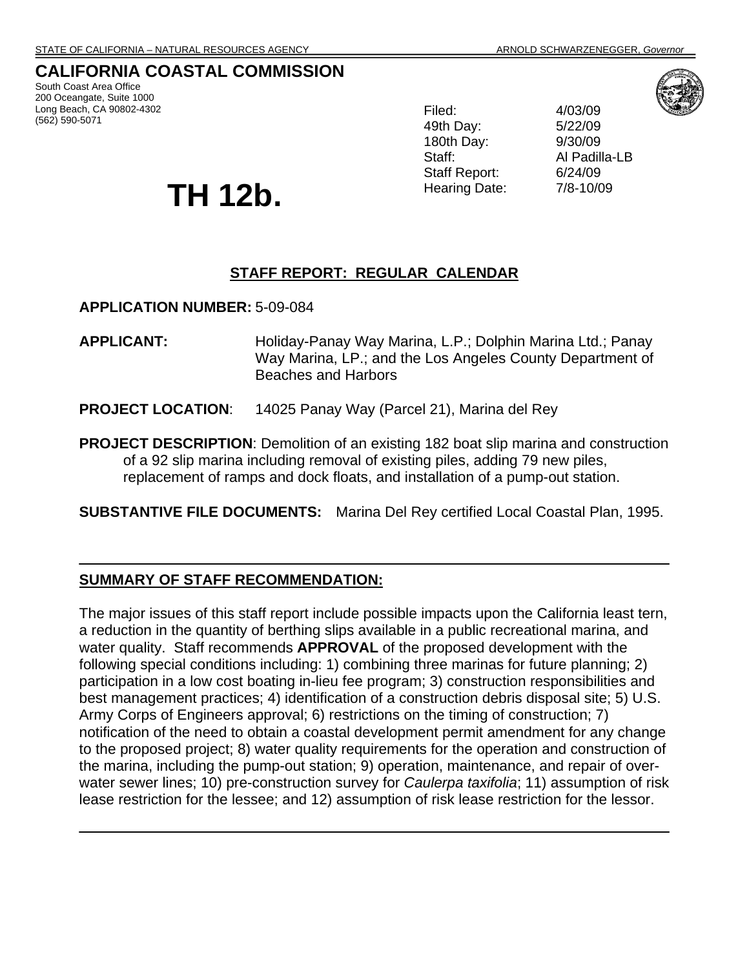# **CALIFORNIA COASTAL COMMISSION**

South Coast Area Office 200 Oceangate, Suite 1000 Long Beach, CA 90802-4302 (562) 590-5071

# 49th Day: 5/22/09 180th Day: 9/30/09 Staff Report: 6/24/09 Hearing Date: 7/8-10/09

Filed: 4/03/09 Staff: Al Padilla-LB



# **STAFF REPORT: REGULAR CALENDAR**

**APPLICATION NUMBER:** 5-09-084

**TH 12b.** 

- **APPLICANT:** Holiday-Panay Way Marina, L.P.; Dolphin Marina Ltd.; Panay Way Marina, LP.; and the Los Angeles County Department of Beaches and Harbors
- **PROJECT LOCATION**: 14025 Panay Way (Parcel 21), Marina del Rey
- **PROJECT DESCRIPTION**: Demolition of an existing 182 boat slip marina and construction of a 92 slip marina including removal of existing piles, adding 79 new piles, replacement of ramps and dock floats, and installation of a pump-out station.

**SUBSTANTIVE FILE DOCUMENTS:** Marina Del Rey certified Local Coastal Plan, 1995.

#### **SUMMARY OF STAFF RECOMMENDATION:**

The major issues of this staff report include possible impacts upon the California least tern, a reduction in the quantity of berthing slips available in a public recreational marina, and water quality. Staff recommends **APPROVAL** of the proposed development with the following special conditions including: 1) combining three marinas for future planning; 2) participation in a low cost boating in-lieu fee program; 3) construction responsibilities and best management practices; 4) identification of a construction debris disposal site; 5) U.S. Army Corps of Engineers approval; 6) restrictions on the timing of construction; 7) notification of the need to obtain a coastal development permit amendment for any change to the proposed project; 8) water quality requirements for the operation and construction of the marina, including the pump-out station; 9) operation, maintenance, and repair of overwater sewer lines; 10) pre-construction survey for *Caulerpa taxifolia*; 11) assumption of risk lease restriction for the lessee; and 12) assumption of risk lease restriction for the lessor.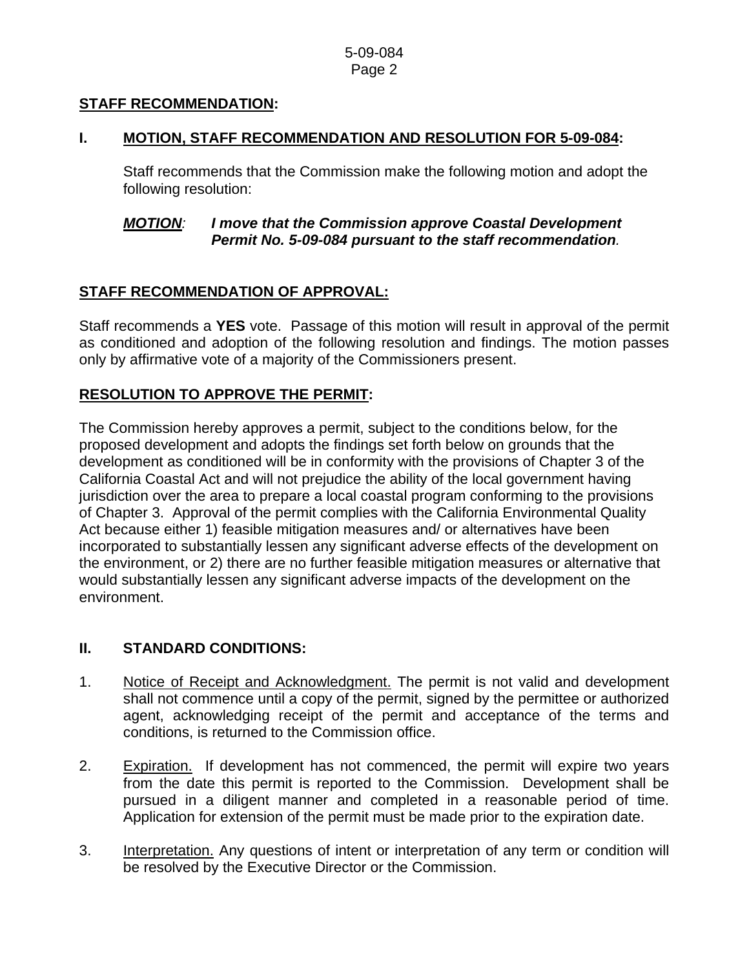# **STAFF RECOMMENDATION:**

#### **I. MOTION, STAFF RECOMMENDATION AND RESOLUTION FOR 5-09-084:**

 Staff recommends that the Commission make the following motion and adopt the following resolution:

#### *MOTION: I move that the Commission approve Coastal Development Permit No. 5-09-084 pursuant to the staff recommendation.*

# **STAFF RECOMMENDATION OF APPROVAL:**

Staff recommends a **YES** vote. Passage of this motion will result in approval of the permit as conditioned and adoption of the following resolution and findings. The motion passes only by affirmative vote of a majority of the Commissioners present.

# **RESOLUTION TO APPROVE THE PERMIT:**

The Commission hereby approves a permit, subject to the conditions below, for the proposed development and adopts the findings set forth below on grounds that the development as conditioned will be in conformity with the provisions of Chapter 3 of the California Coastal Act and will not prejudice the ability of the local government having jurisdiction over the area to prepare a local coastal program conforming to the provisions of Chapter 3. Approval of the permit complies with the California Environmental Quality Act because either 1) feasible mitigation measures and/ or alternatives have been incorporated to substantially lessen any significant adverse effects of the development on the environment, or 2) there are no further feasible mitigation measures or alternative that would substantially lessen any significant adverse impacts of the development on the environment.

# **II. STANDARD CONDITIONS:**

- 1. Notice of Receipt and Acknowledgment. The permit is not valid and development shall not commence until a copy of the permit, signed by the permittee or authorized agent, acknowledging receipt of the permit and acceptance of the terms and conditions, is returned to the Commission office.
- 2. Expiration. If development has not commenced, the permit will expire two years from the date this permit is reported to the Commission. Development shall be pursued in a diligent manner and completed in a reasonable period of time. Application for extension of the permit must be made prior to the expiration date.
- 3. Interpretation. Any questions of intent or interpretation of any term or condition will be resolved by the Executive Director or the Commission.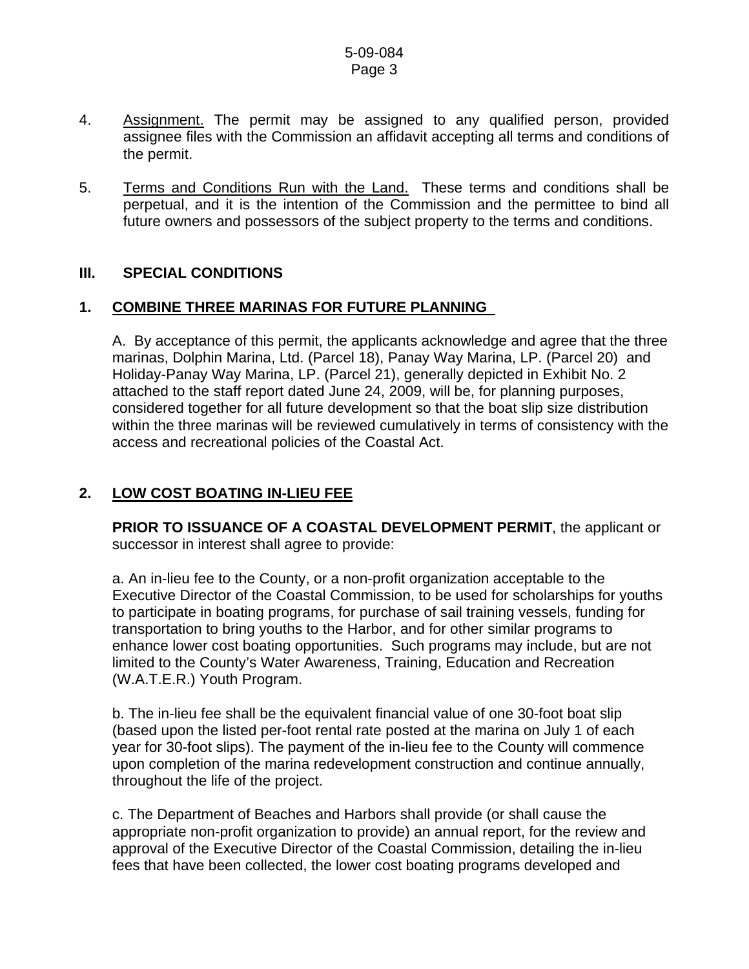- 4. Assignment. The permit may be assigned to any qualified person, provided assignee files with the Commission an affidavit accepting all terms and conditions of the permit.
- 5. Terms and Conditions Run with the Land. These terms and conditions shall be perpetual, and it is the intention of the Commission and the permittee to bind all future owners and possessors of the subject property to the terms and conditions.

# **III. SPECIAL CONDITIONS**

# **1. COMBINE THREE MARINAS FOR FUTURE PLANNING**

A. By acceptance of this permit, the applicants acknowledge and agree that the three marinas, Dolphin Marina, Ltd. (Parcel 18), Panay Way Marina, LP. (Parcel 20) and Holiday-Panay Way Marina, LP. (Parcel 21), generally depicted in Exhibit No. 2 attached to the staff report dated June 24, 2009, will be, for planning purposes, considered together for all future development so that the boat slip size distribution within the three marinas will be reviewed cumulatively in terms of consistency with the access and recreational policies of the Coastal Act.

# **2. LOW COST BOATING IN-LIEU FEE**

**PRIOR TO ISSUANCE OF A COASTAL DEVELOPMENT PERMIT**, the applicant or successor in interest shall agree to provide:

a. An in-lieu fee to the County, or a non-profit organization acceptable to the Executive Director of the Coastal Commission, to be used for scholarships for youths to participate in boating programs, for purchase of sail training vessels, funding for transportation to bring youths to the Harbor, and for other similar programs to enhance lower cost boating opportunities. Such programs may include, but are not limited to the County's Water Awareness, Training, Education and Recreation (W.A.T.E.R.) Youth Program.

b. The in-lieu fee shall be the equivalent financial value of one 30-foot boat slip (based upon the listed per-foot rental rate posted at the marina on July 1 of each year for 30-foot slips). The payment of the in-lieu fee to the County will commence upon completion of the marina redevelopment construction and continue annually, throughout the life of the project.

c. The Department of Beaches and Harbors shall provide (or shall cause the appropriate non-profit organization to provide) an annual report, for the review and approval of the Executive Director of the Coastal Commission, detailing the in-lieu fees that have been collected, the lower cost boating programs developed and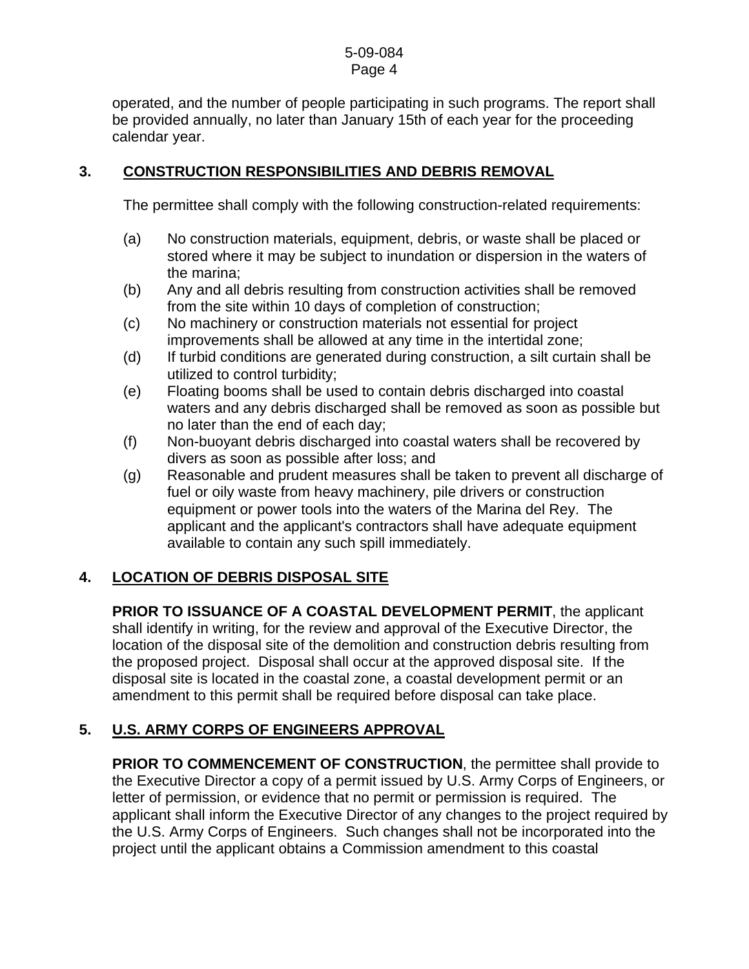operated, and the number of people participating in such programs. The report shall be provided annually, no later than January 15th of each year for the proceeding calendar year.

# **3. CONSTRUCTION RESPONSIBILITIES AND DEBRIS REMOVAL**

The permittee shall comply with the following construction-related requirements:

- (a) No construction materials, equipment, debris, or waste shall be placed or stored where it may be subject to inundation or dispersion in the waters of the marina;
- (b) Any and all debris resulting from construction activities shall be removed from the site within 10 days of completion of construction;
- (c) No machinery or construction materials not essential for project improvements shall be allowed at any time in the intertidal zone;
- (d) If turbid conditions are generated during construction, a silt curtain shall be utilized to control turbidity;
- (e) Floating booms shall be used to contain debris discharged into coastal waters and any debris discharged shall be removed as soon as possible but no later than the end of each day;
- (f) Non-buoyant debris discharged into coastal waters shall be recovered by divers as soon as possible after loss; and
- (g) Reasonable and prudent measures shall be taken to prevent all discharge of fuel or oily waste from heavy machinery, pile drivers or construction equipment or power tools into the waters of the Marina del Rey. The applicant and the applicant's contractors shall have adequate equipment available to contain any such spill immediately.

# **4. LOCATION OF DEBRIS DISPOSAL SITE**

**PRIOR TO ISSUANCE OF A COASTAL DEVELOPMENT PERMIT**, the applicant shall identify in writing, for the review and approval of the Executive Director, the location of the disposal site of the demolition and construction debris resulting from the proposed project. Disposal shall occur at the approved disposal site. If the disposal site is located in the coastal zone, a coastal development permit or an amendment to this permit shall be required before disposal can take place.

# **5. U.S. ARMY CORPS OF ENGINEERS APPROVAL**

**PRIOR TO COMMENCEMENT OF CONSTRUCTION**, the permittee shall provide to the Executive Director a copy of a permit issued by U.S. Army Corps of Engineers, or letter of permission, or evidence that no permit or permission is required. The applicant shall inform the Executive Director of any changes to the project required by the U.S. Army Corps of Engineers. Such changes shall not be incorporated into the project until the applicant obtains a Commission amendment to this coastal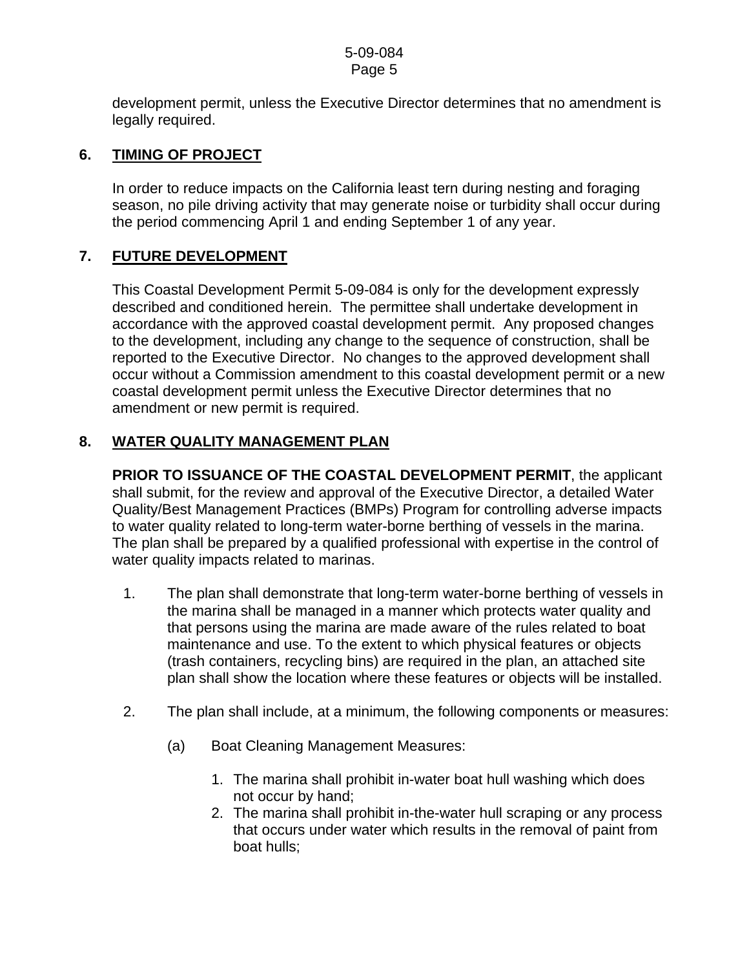development permit, unless the Executive Director determines that no amendment is legally required.

# **6. TIMING OF PROJECT**

In order to reduce impacts on the California least tern during nesting and foraging season, no pile driving activity that may generate noise or turbidity shall occur during the period commencing April 1 and ending September 1 of any year.

# **7. FUTURE DEVELOPMENT**

This Coastal Development Permit 5-09-084 is only for the development expressly described and conditioned herein. The permittee shall undertake development in accordance with the approved coastal development permit. Any proposed changes to the development, including any change to the sequence of construction, shall be reported to the Executive Director. No changes to the approved development shall occur without a Commission amendment to this coastal development permit or a new coastal development permit unless the Executive Director determines that no amendment or new permit is required.

# **8. WATER QUALITY MANAGEMENT PLAN**

**PRIOR TO ISSUANCE OF THE COASTAL DEVELOPMENT PERMIT**, the applicant shall submit, for the review and approval of the Executive Director, a detailed Water Quality/Best Management Practices (BMPs) Program for controlling adverse impacts to water quality related to long-term water-borne berthing of vessels in the marina. The plan shall be prepared by a qualified professional with expertise in the control of water quality impacts related to marinas.

- 1. The plan shall demonstrate that long-term water-borne berthing of vessels in the marina shall be managed in a manner which protects water quality and that persons using the marina are made aware of the rules related to boat maintenance and use. To the extent to which physical features or objects (trash containers, recycling bins) are required in the plan, an attached site plan shall show the location where these features or objects will be installed.
- 2. The plan shall include, at a minimum, the following components or measures:
	- (a) Boat Cleaning Management Measures:
		- 1. The marina shall prohibit in-water boat hull washing which does not occur by hand;
		- 2. The marina shall prohibit in-the-water hull scraping or any process that occurs under water which results in the removal of paint from boat hulls;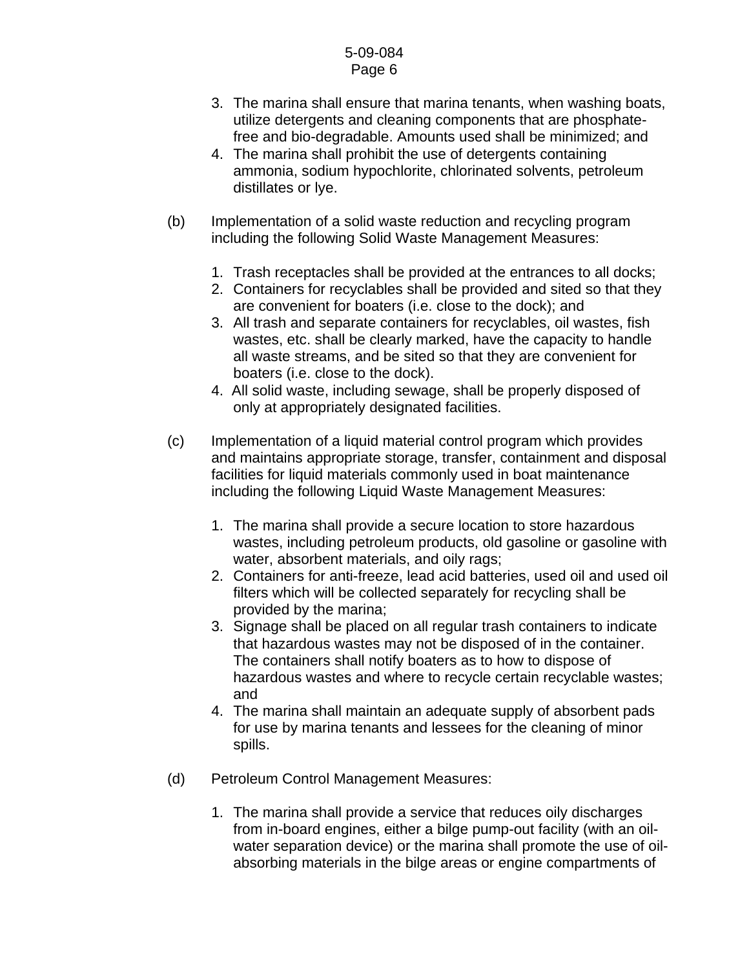- 3. The marina shall ensure that marina tenants, when washing boats, utilize detergents and cleaning components that are phosphatefree and bio-degradable. Amounts used shall be minimized; and
- 4. The marina shall prohibit the use of detergents containing ammonia, sodium hypochlorite, chlorinated solvents, petroleum distillates or lye.
- (b) Implementation of a solid waste reduction and recycling program including the following Solid Waste Management Measures:
	- 1. Trash receptacles shall be provided at the entrances to all docks;
	- 2. Containers for recyclables shall be provided and sited so that they are convenient for boaters (i.e. close to the dock); and
	- 3. All trash and separate containers for recyclables, oil wastes, fish wastes, etc. shall be clearly marked, have the capacity to handle all waste streams, and be sited so that they are convenient for boaters (i.e. close to the dock).
	- 4. All solid waste, including sewage, shall be properly disposed of only at appropriately designated facilities.
- (c) Implementation of a liquid material control program which provides and maintains appropriate storage, transfer, containment and disposal facilities for liquid materials commonly used in boat maintenance including the following Liquid Waste Management Measures:
	- 1. The marina shall provide a secure location to store hazardous wastes, including petroleum products, old gasoline or gasoline with water, absorbent materials, and oily rags;
	- 2. Containers for anti-freeze, lead acid batteries, used oil and used oil filters which will be collected separately for recycling shall be provided by the marina;
	- 3. Signage shall be placed on all regular trash containers to indicate that hazardous wastes may not be disposed of in the container. The containers shall notify boaters as to how to dispose of hazardous wastes and where to recycle certain recyclable wastes; and
	- 4. The marina shall maintain an adequate supply of absorbent pads for use by marina tenants and lessees for the cleaning of minor spills.
- (d) Petroleum Control Management Measures:
	- 1. The marina shall provide a service that reduces oily discharges from in-board engines, either a bilge pump-out facility (with an oilwater separation device) or the marina shall promote the use of oilabsorbing materials in the bilge areas or engine compartments of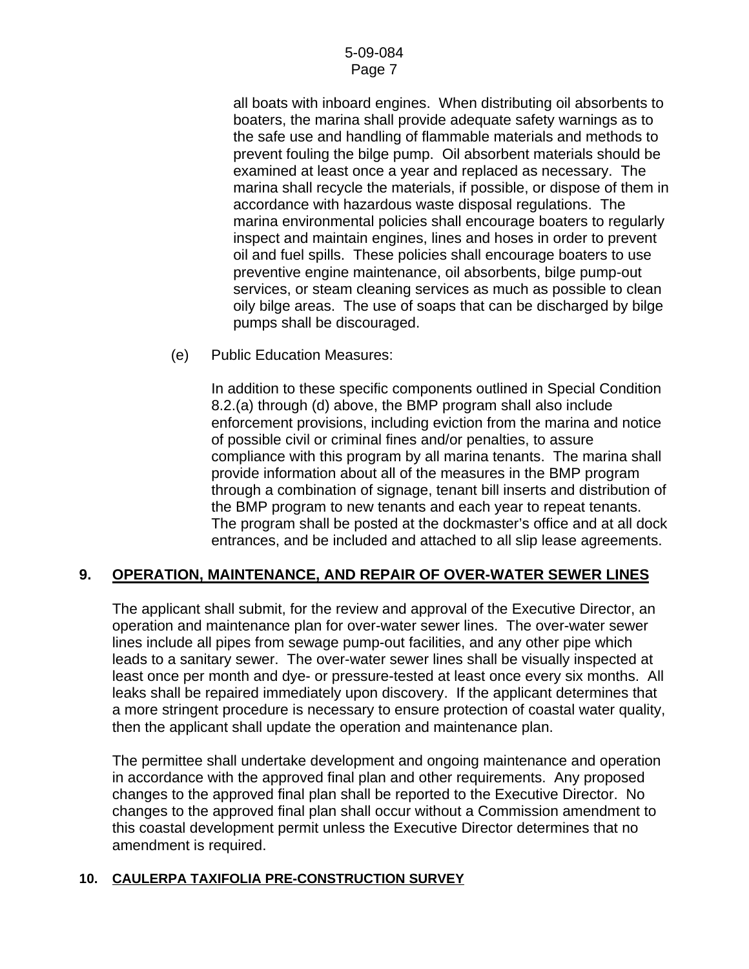all boats with inboard engines. When distributing oil absorbents to boaters, the marina shall provide adequate safety warnings as to the safe use and handling of flammable materials and methods to prevent fouling the bilge pump. Oil absorbent materials should be examined at least once a year and replaced as necessary. The marina shall recycle the materials, if possible, or dispose of them in accordance with hazardous waste disposal regulations. The marina environmental policies shall encourage boaters to regularly inspect and maintain engines, lines and hoses in order to prevent oil and fuel spills. These policies shall encourage boaters to use preventive engine maintenance, oil absorbents, bilge pump-out services, or steam cleaning services as much as possible to clean oily bilge areas. The use of soaps that can be discharged by bilge pumps shall be discouraged.

(e) Public Education Measures:

 In addition to these specific components outlined in Special Condition 8.2.(a) through (d) above, the BMP program shall also include enforcement provisions, including eviction from the marina and notice of possible civil or criminal fines and/or penalties, to assure compliance with this program by all marina tenants. The marina shall provide information about all of the measures in the BMP program through a combination of signage, tenant bill inserts and distribution of the BMP program to new tenants and each year to repeat tenants. The program shall be posted at the dockmaster's office and at all dock entrances, and be included and attached to all slip lease agreements.

# **9. OPERATION, MAINTENANCE, AND REPAIR OF OVER-WATER SEWER LINES**

The applicant shall submit, for the review and approval of the Executive Director, an operation and maintenance plan for over-water sewer lines. The over-water sewer lines include all pipes from sewage pump-out facilities, and any other pipe which leads to a sanitary sewer. The over-water sewer lines shall be visually inspected at least once per month and dye- or pressure-tested at least once every six months. All leaks shall be repaired immediately upon discovery. If the applicant determines that a more stringent procedure is necessary to ensure protection of coastal water quality, then the applicant shall update the operation and maintenance plan.

The permittee shall undertake development and ongoing maintenance and operation in accordance with the approved final plan and other requirements. Any proposed changes to the approved final plan shall be reported to the Executive Director. No changes to the approved final plan shall occur without a Commission amendment to this coastal development permit unless the Executive Director determines that no amendment is required.

# **10. CAULERPA TAXIFOLIA PRE-CONSTRUCTION SURVEY**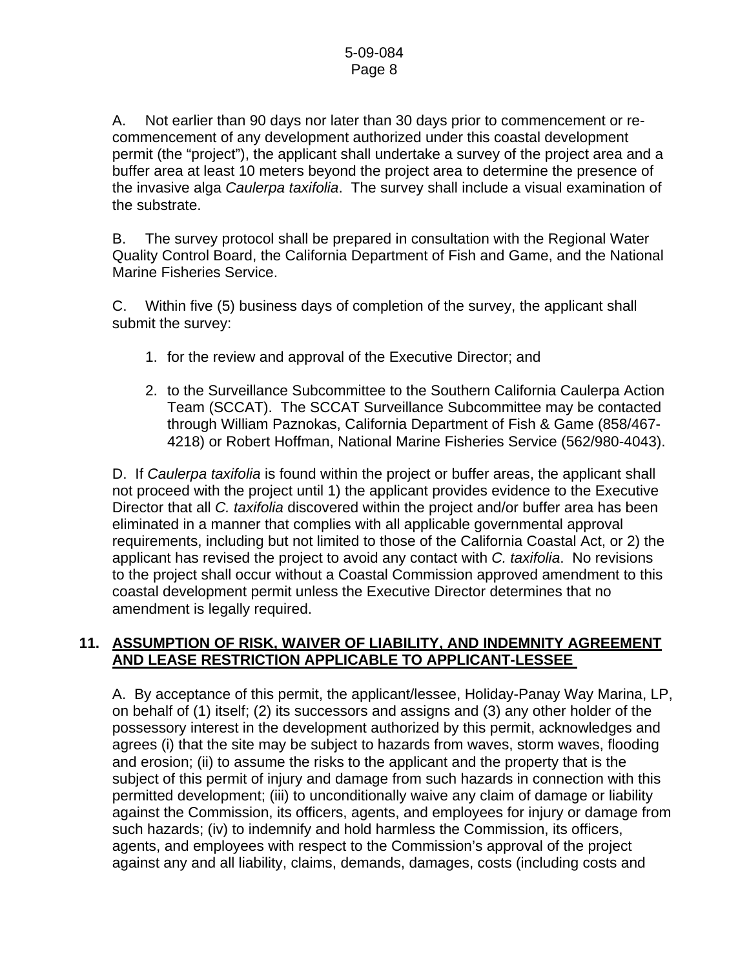A. Not earlier than 90 days nor later than 30 days prior to commencement or recommencement of any development authorized under this coastal development permit (the "project"), the applicant shall undertake a survey of the project area and a buffer area at least 10 meters beyond the project area to determine the presence of the invasive alga *Caulerpa taxifolia*. The survey shall include a visual examination of the substrate.

B. The survey protocol shall be prepared in consultation with the Regional Water Quality Control Board, the California Department of Fish and Game, and the National Marine Fisheries Service.

C. Within five (5) business days of completion of the survey, the applicant shall submit the survey:

- 1. for the review and approval of the Executive Director; and
- 2. to the Surveillance Subcommittee to the Southern California Caulerpa Action Team (SCCAT). The SCCAT Surveillance Subcommittee may be contacted through William Paznokas, California Department of Fish & Game (858/467- 4218) or Robert Hoffman, National Marine Fisheries Service (562/980-4043).

D. If *Caulerpa taxifolia* is found within the project or buffer areas, the applicant shall not proceed with the project until 1) the applicant provides evidence to the Executive Director that all *C. taxifolia* discovered within the project and/or buffer area has been eliminated in a manner that complies with all applicable governmental approval requirements, including but not limited to those of the California Coastal Act, or 2) the applicant has revised the project to avoid any contact with *C. taxifolia*. No revisions to the project shall occur without a Coastal Commission approved amendment to this coastal development permit unless the Executive Director determines that no amendment is legally required.

# **11. ASSUMPTION OF RISK, WAIVER OF LIABILITY, AND INDEMNITY AGREEMENT AND LEASE RESTRICTION APPLICABLE TO APPLICANT-LESSEE**

A. By acceptance of this permit, the applicant/lessee, Holiday-Panay Way Marina, LP, on behalf of (1) itself; (2) its successors and assigns and (3) any other holder of the possessory interest in the development authorized by this permit, acknowledges and agrees (i) that the site may be subject to hazards from waves, storm waves, flooding and erosion; (ii) to assume the risks to the applicant and the property that is the subject of this permit of injury and damage from such hazards in connection with this permitted development; (iii) to unconditionally waive any claim of damage or liability against the Commission, its officers, agents, and employees for injury or damage from such hazards; (iv) to indemnify and hold harmless the Commission, its officers, agents, and employees with respect to the Commission's approval of the project against any and all liability, claims, demands, damages, costs (including costs and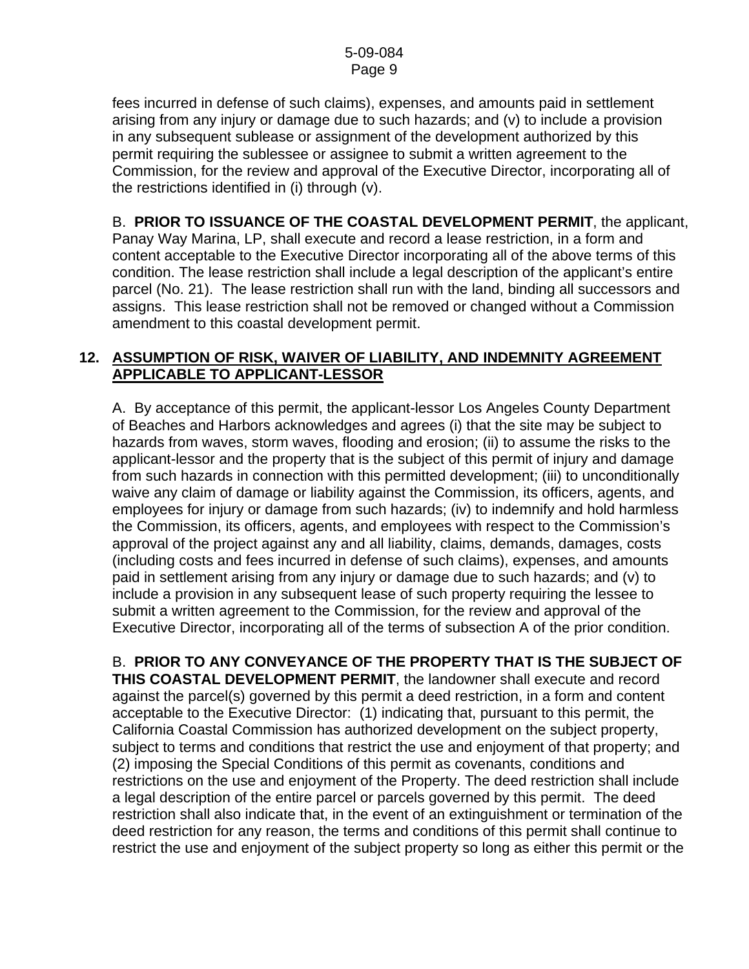fees incurred in defense of such claims), expenses, and amounts paid in settlement arising from any injury or damage due to such hazards; and (v) to include a provision in any subsequent sublease or assignment of the development authorized by this permit requiring the sublessee or assignee to submit a written agreement to the Commission, for the review and approval of the Executive Director, incorporating all of the restrictions identified in (i) through (v).

 B. **PRIOR TO ISSUANCE OF THE COASTAL DEVELOPMENT PERMIT**, the applicant, Panay Way Marina, LP, shall execute and record a lease restriction, in a form and content acceptable to the Executive Director incorporating all of the above terms of this condition. The lease restriction shall include a legal description of the applicant's entire parcel (No. 21). The lease restriction shall run with the land, binding all successors and assigns. This lease restriction shall not be removed or changed without a Commission amendment to this coastal development permit.

# **12. ASSUMPTION OF RISK, WAIVER OF LIABILITY, AND INDEMNITY AGREEMENT APPLICABLE TO APPLICANT-LESSOR**

A. By acceptance of this permit, the applicant-lessor Los Angeles County Department of Beaches and Harbors acknowledges and agrees (i) that the site may be subject to hazards from waves, storm waves, flooding and erosion; (ii) to assume the risks to the applicant-lessor and the property that is the subject of this permit of injury and damage from such hazards in connection with this permitted development; (iii) to unconditionally waive any claim of damage or liability against the Commission, its officers, agents, and employees for injury or damage from such hazards; (iv) to indemnify and hold harmless the Commission, its officers, agents, and employees with respect to the Commission's approval of the project against any and all liability, claims, demands, damages, costs (including costs and fees incurred in defense of such claims), expenses, and amounts paid in settlement arising from any injury or damage due to such hazards; and (v) to include a provision in any subsequent lease of such property requiring the lessee to submit a written agreement to the Commission, for the review and approval of the Executive Director, incorporating all of the terms of subsection A of the prior condition.

B. **PRIOR TO ANY CONVEYANCE OF THE PROPERTY THAT IS THE SUBJECT OF THIS COASTAL DEVELOPMENT PERMIT**, the landowner shall execute and record against the parcel(s) governed by this permit a deed restriction, in a form and content acceptable to the Executive Director: (1) indicating that, pursuant to this permit, the California Coastal Commission has authorized development on the subject property, subject to terms and conditions that restrict the use and enjoyment of that property; and (2) imposing the Special Conditions of this permit as covenants, conditions and restrictions on the use and enjoyment of the Property. The deed restriction shall include a legal description of the entire parcel or parcels governed by this permit. The deed restriction shall also indicate that, in the event of an extinguishment or termination of the deed restriction for any reason, the terms and conditions of this permit shall continue to restrict the use and enjoyment of the subject property so long as either this permit or the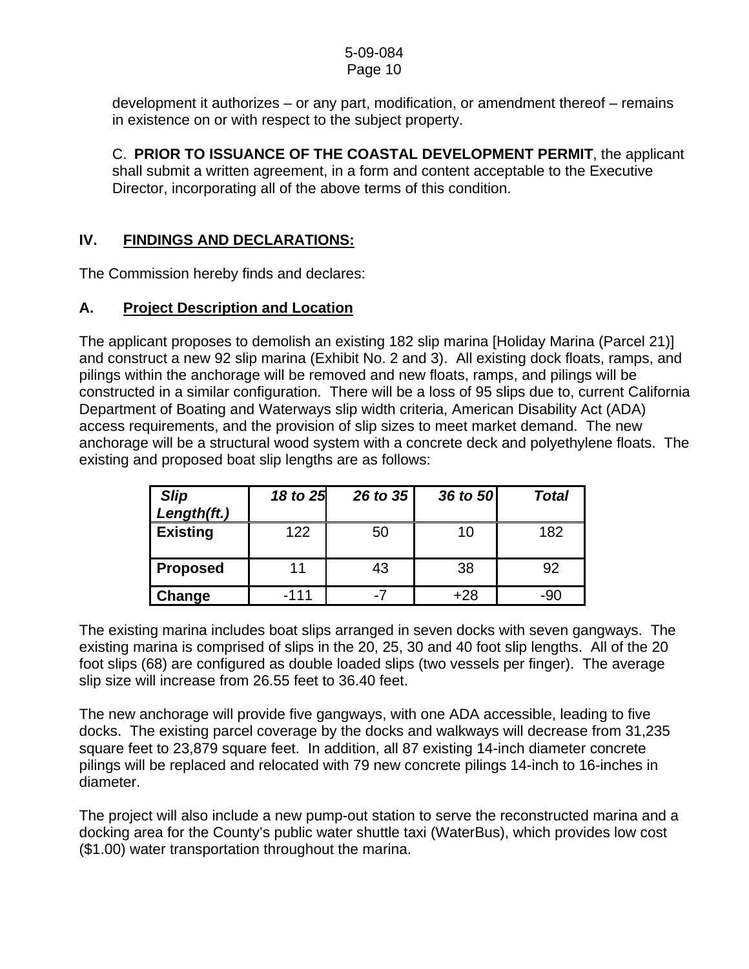# 5-09-084

# Page 10

development it authorizes – or any part, modification, or amendment thereof – remains in existence on or with respect to the subject property.

 C. **PRIOR TO ISSUANCE OF THE COASTAL DEVELOPMENT PERMIT**, the applicant shall submit a written agreement, in a form and content acceptable to the Executive Director, incorporating all of the above terms of this condition.

# **IV. FINDINGS AND DECLARATIONS:**

The Commission hereby finds and declares:

# **A. Project Description and Location**

The applicant proposes to demolish an existing 182 slip marina [Holiday Marina (Parcel 21)] and construct a new 92 slip marina (Exhibit No. 2 and 3). All existing dock floats, ramps, and pilings within the anchorage will be removed and new floats, ramps, and pilings will be constructed in a similar configuration. There will be a loss of 95 slips due to, current California Department of Boating and Waterways slip width criteria, American Disability Act (ADA) access requirements, and the provision of slip sizes to meet market demand. The new anchorage will be a structural wood system with a concrete deck and polyethylene floats. The existing and proposed boat slip lengths are as follows:

| <b>Slip</b><br>Length(ft.) | 18 to 25 | 26 to 35 | 36 to 50 | <b>Total</b> |
|----------------------------|----------|----------|----------|--------------|
| <b>Existing</b>            | 122      | 50       | 10       | 182          |
| <b>Proposed</b>            | 11       | 43       | 38       | 92           |
| Change                     | $-111$   | -7       | $+28$    | $-90$        |

The existing marina includes boat slips arranged in seven docks with seven gangways. The existing marina is comprised of slips in the 20, 25, 30 and 40 foot slip lengths. All of the 20 foot slips (68) are configured as double loaded slips (two vessels per finger). The average slip size will increase from 26.55 feet to 36.40 feet.

The new anchorage will provide five gangways, with one ADA accessible, leading to five docks. The existing parcel coverage by the docks and walkways will decrease from 31,235 square feet to 23,879 square feet. In addition, all 87 existing 14-inch diameter concrete pilings will be replaced and relocated with 79 new concrete pilings 14-inch to 16-inches in diameter.

The project will also include a new pump-out station to serve the reconstructed marina and a docking area for the County's public water shuttle taxi (WaterBus), which provides low cost (\$1.00) water transportation throughout the marina.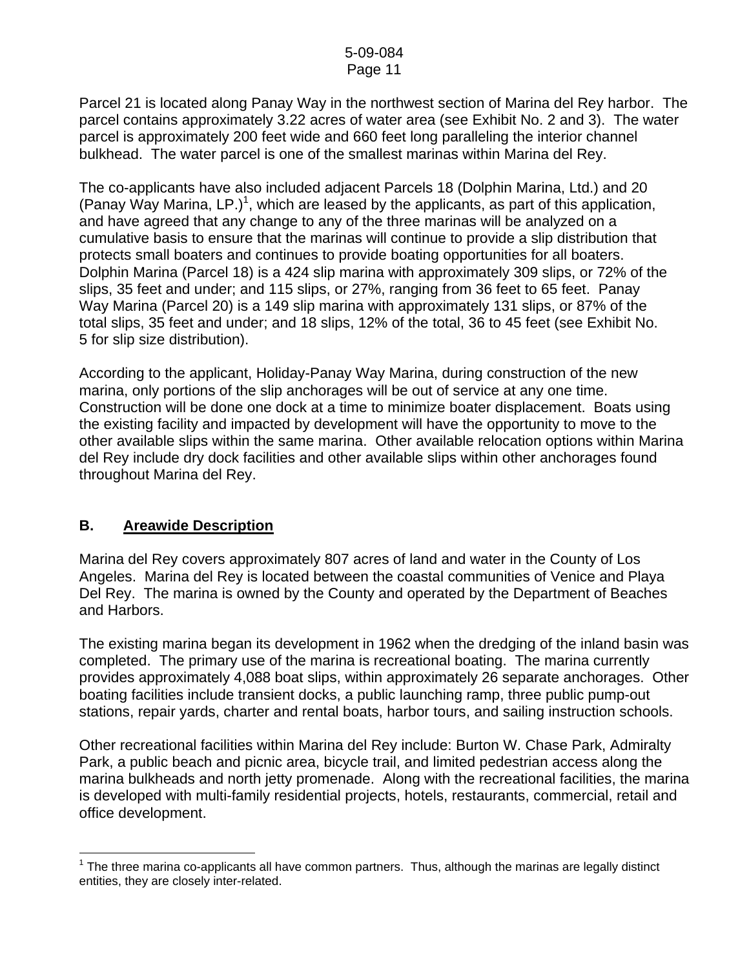Parcel 21 is located along Panay Way in the northwest section of Marina del Rey harbor. The parcel contains approximately 3.22 acres of water area (see Exhibit No. 2 and 3). The water parcel is approximately 200 feet wide and 660 feet long paralleling the interior channel bulkhead. The water parcel is one of the smallest marinas within Marina del Rey.

The co-applicants have also included adjacent Parcels 18 (Dolphin Marina, Ltd.) and 20 (Panay Way Marina, LP.)<sup>[1](#page-10-0)</sup>, which are leased by the applicants, as part of this application, and have agreed that any change to any of the three marinas will be analyzed on a cumulative basis to ensure that the marinas will continue to provide a slip distribution that protects small boaters and continues to provide boating opportunities for all boaters. Dolphin Marina (Parcel 18) is a 424 slip marina with approximately 309 slips, or 72% of the slips, 35 feet and under; and 115 slips, or 27%, ranging from 36 feet to 65 feet. Panay Way Marina (Parcel 20) is a 149 slip marina with approximately 131 slips, or 87% of the total slips, 35 feet and under; and 18 slips, 12% of the total, 36 to 45 feet (see Exhibit No. 5 for slip size distribution).

According to the applicant, Holiday-Panay Way Marina, during construction of the new marina, only portions of the slip anchorages will be out of service at any one time. Construction will be done one dock at a time to minimize boater displacement. Boats using the existing facility and impacted by development will have the opportunity to move to the other available slips within the same marina. Other available relocation options within Marina del Rey include dry dock facilities and other available slips within other anchorages found throughout Marina del Rey.

# **B. Areawide Description**

Marina del Rey covers approximately 807 acres of land and water in the County of Los Angeles. Marina del Rey is located between the coastal communities of Venice and Playa Del Rey. The marina is owned by the County and operated by the Department of Beaches and Harbors.

The existing marina began its development in 1962 when the dredging of the inland basin was completed. The primary use of the marina is recreational boating. The marina currently provides approximately 4,088 boat slips, within approximately 26 separate anchorages. Other boating facilities include transient docks, a public launching ramp, three public pump-out stations, repair yards, charter and rental boats, harbor tours, and sailing instruction schools.

Other recreational facilities within Marina del Rey include: Burton W. Chase Park, Admiralty Park, a public beach and picnic area, bicycle trail, and limited pedestrian access along the marina bulkheads and north jetty promenade. Along with the recreational facilities, the marina is developed with multi-family residential projects, hotels, restaurants, commercial, retail and office development.

<span id="page-10-0"></span>l  $1$  The three marina co-applicants all have common partners. Thus, although the marinas are legally distinct entities, they are closely inter-related.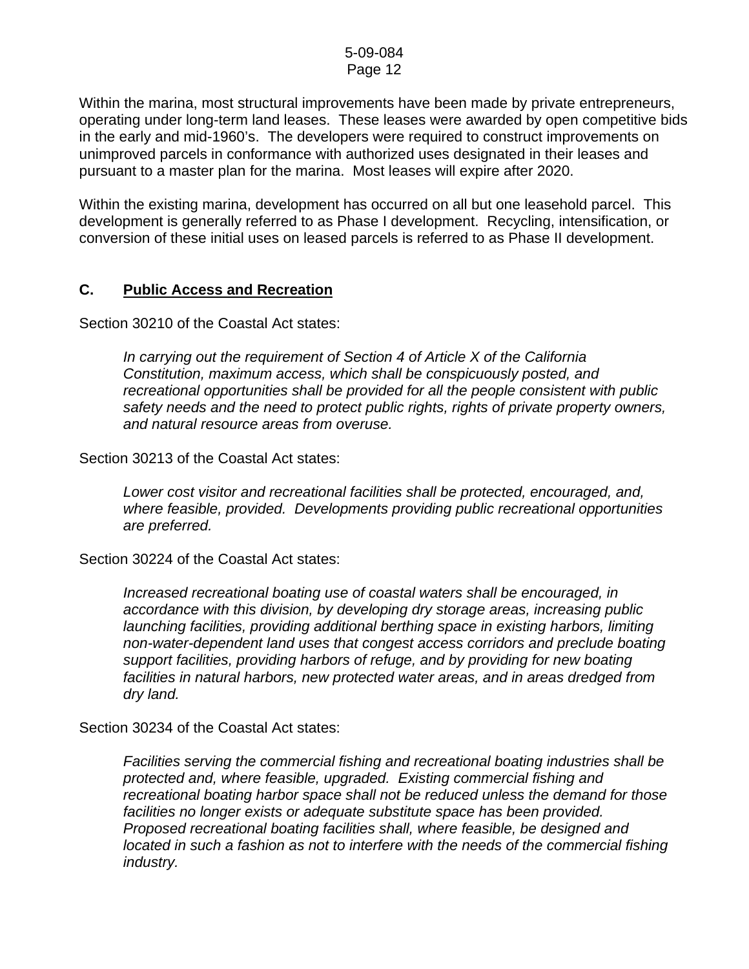Within the marina, most structural improvements have been made by private entrepreneurs, operating under long-term land leases. These leases were awarded by open competitive bids in the early and mid-1960's. The developers were required to construct improvements on unimproved parcels in conformance with authorized uses designated in their leases and pursuant to a master plan for the marina. Most leases will expire after 2020.

Within the existing marina, development has occurred on all but one leasehold parcel. This development is generally referred to as Phase I development. Recycling, intensification, or conversion of these initial uses on leased parcels is referred to as Phase II development.

#### **C. Public Access and Recreation**

Section 30210 of the Coastal Act states:

*In carrying out the requirement of Section 4 of Article X of the California Constitution, maximum access, which shall be conspicuously posted, and recreational opportunities shall be provided for all the people consistent with public safety needs and the need to protect public rights, rights of private property owners, and natural resource areas from overuse.* 

Section 30213 of the Coastal Act states:

 *Lower cost visitor and recreational facilities shall be protected, encouraged, and, where feasible, provided. Developments providing public recreational opportunities are preferred.* 

Section 30224 of the Coastal Act states:

*Increased recreational boating use of coastal waters shall be encouraged, in accordance with this division, by developing dry storage areas, increasing public launching facilities, providing additional berthing space in existing harbors, limiting non-water-dependent land uses that congest access corridors and preclude boating support facilities, providing harbors of refuge, and by providing for new boating facilities in natural harbors, new protected water areas, and in areas dredged from dry land.* 

Section 30234 of the Coastal Act states:

*Facilities serving the commercial fishing and recreational boating industries shall be protected and, where feasible, upgraded. Existing commercial fishing and recreational boating harbor space shall not be reduced unless the demand for those facilities no longer exists or adequate substitute space has been provided. Proposed recreational boating facilities shall, where feasible, be designed and located in such a fashion as not to interfere with the needs of the commercial fishing industry.*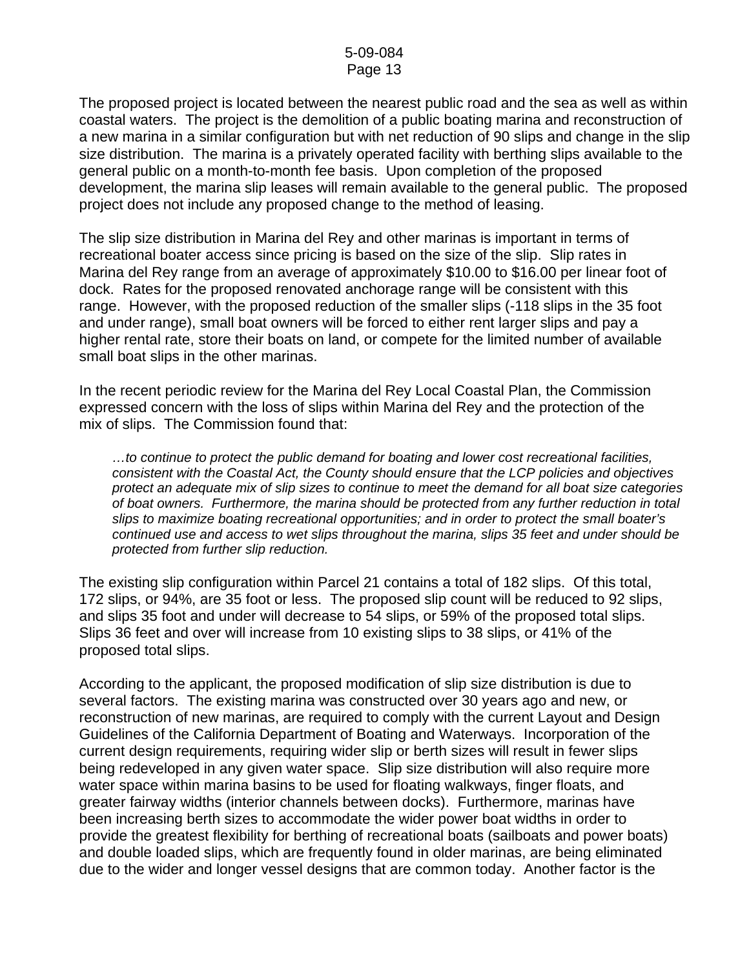The proposed project is located between the nearest public road and the sea as well as within coastal waters. The project is the demolition of a public boating marina and reconstruction of a new marina in a similar configuration but with net reduction of 90 slips and change in the slip size distribution. The marina is a privately operated facility with berthing slips available to the general public on a month-to-month fee basis. Upon completion of the proposed development, the marina slip leases will remain available to the general public. The proposed project does not include any proposed change to the method of leasing.

The slip size distribution in Marina del Rey and other marinas is important in terms of recreational boater access since pricing is based on the size of the slip. Slip rates in Marina del Rey range from an average of approximately \$10.00 to \$16.00 per linear foot of dock. Rates for the proposed renovated anchorage range will be consistent with this range. However, with the proposed reduction of the smaller slips (-118 slips in the 35 foot and under range), small boat owners will be forced to either rent larger slips and pay a higher rental rate, store their boats on land, or compete for the limited number of available small boat slips in the other marinas.

In the recent periodic review for the Marina del Rey Local Coastal Plan, the Commission expressed concern with the loss of slips within Marina del Rey and the protection of the mix of slips. The Commission found that:

*…to continue to protect the public demand for boating and lower cost recreational facilities, consistent with the Coastal Act, the County should ensure that the LCP policies and objectives protect an adequate mix of slip sizes to continue to meet the demand for all boat size categories of boat owners. Furthermore, the marina should be protected from any further reduction in total slips to maximize boating recreational opportunities; and in order to protect the small boater's continued use and access to wet slips throughout the marina, slips 35 feet and under should be protected from further slip reduction.* 

The existing slip configuration within Parcel 21 contains a total of 182 slips. Of this total, 172 slips, or 94%, are 35 foot or less. The proposed slip count will be reduced to 92 slips, and slips 35 foot and under will decrease to 54 slips, or 59% of the proposed total slips. Slips 36 feet and over will increase from 10 existing slips to 38 slips, or 41% of the proposed total slips.

According to the applicant, the proposed modification of slip size distribution is due to several factors. The existing marina was constructed over 30 years ago and new, or reconstruction of new marinas, are required to comply with the current Layout and Design Guidelines of the California Department of Boating and Waterways. Incorporation of the current design requirements, requiring wider slip or berth sizes will result in fewer slips being redeveloped in any given water space. Slip size distribution will also require more water space within marina basins to be used for floating walkways, finger floats, and greater fairway widths (interior channels between docks). Furthermore, marinas have been increasing berth sizes to accommodate the wider power boat widths in order to provide the greatest flexibility for berthing of recreational boats (sailboats and power boats) and double loaded slips, which are frequently found in older marinas, are being eliminated due to the wider and longer vessel designs that are common today. Another factor is the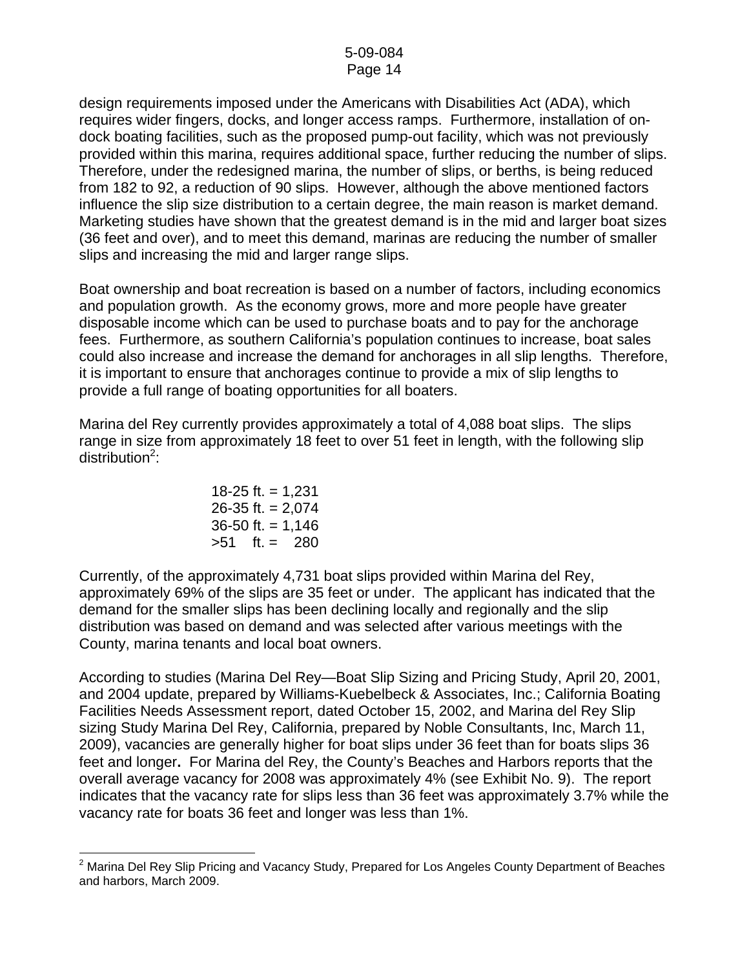design requirements imposed under the Americans with Disabilities Act (ADA), which requires wider fingers, docks, and longer access ramps. Furthermore, installation of ondock boating facilities, such as the proposed pump-out facility, which was not previously provided within this marina, requires additional space, further reducing the number of slips. Therefore, under the redesigned marina, the number of slips, or berths, is being reduced from 182 to 92, a reduction of 90 slips. However, although the above mentioned factors influence the slip size distribution to a certain degree, the main reason is market demand. Marketing studies have shown that the greatest demand is in the mid and larger boat sizes (36 feet and over), and to meet this demand, marinas are reducing the number of smaller slips and increasing the mid and larger range slips.

Boat ownership and boat recreation is based on a number of factors, including economics and population growth. As the economy grows, more and more people have greater disposable income which can be used to purchase boats and to pay for the anchorage fees. Furthermore, as southern California's population continues to increase, boat sales could also increase and increase the demand for anchorages in all slip lengths. Therefore, it is important to ensure that anchorages continue to provide a mix of slip lengths to provide a full range of boating opportunities for all boaters.

Marina del Rey currently provides approximately a total of 4,088 boat slips. The slips range in size from approximately 18 feet to over 51 feet in length, with the following slip  $distri$ bution<sup>[2](#page-13-0)</sup>:

\n
$$
18-25 \, \text{ft.} = 1,231
$$
\n

\n\n $26-35 \, \text{ft.} = 2,074$ \n

\n\n $36-50 \, \text{ft.} = 1,146$ \n

\n\n $>51 \quad \text{ft.} = 280$ \n

Currently, of the approximately 4,731 boat slips provided within Marina del Rey, approximately 69% of the slips are 35 feet or under. The applicant has indicated that the demand for the smaller slips has been declining locally and regionally and the slip distribution was based on demand and was selected after various meetings with the County, marina tenants and local boat owners.

According to studies (Marina Del Rey—Boat Slip Sizing and Pricing Study, April 20, 2001, and 2004 update, prepared by Williams-Kuebelbeck & Associates, Inc.; California Boating Facilities Needs Assessment report, dated October 15, 2002, and Marina del Rey Slip sizing Study Marina Del Rey, California, prepared by Noble Consultants, Inc, March 11, 2009), vacancies are generally higher for boat slips under 36 feet than for boats slips 36 feet and longer**.** For Marina del Rey, the County's Beaches and Harbors reports that the overall average vacancy for 2008 was approximately 4% (see Exhibit No. 9). The report indicates that the vacancy rate for slips less than 36 feet was approximately 3.7% while the vacancy rate for boats 36 feet and longer was less than 1%.

<span id="page-13-0"></span>l  $2$  Marina Del Rey Slip Pricing and Vacancy Study, Prepared for Los Angeles County Department of Beaches and harbors, March 2009.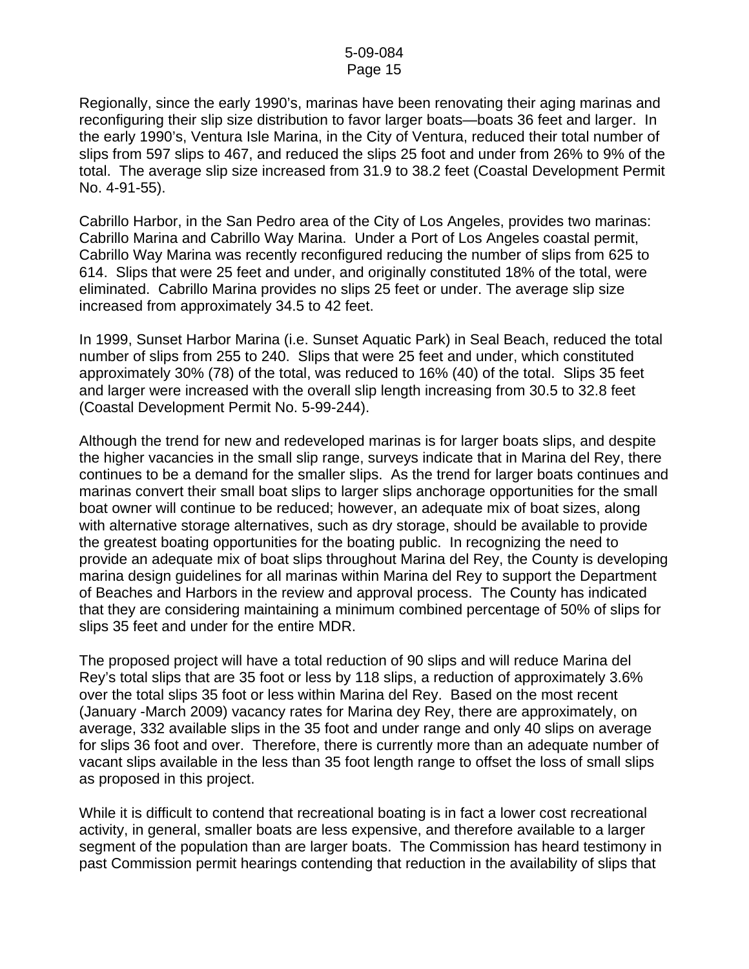Regionally, since the early 1990's, marinas have been renovating their aging marinas and reconfiguring their slip size distribution to favor larger boats—boats 36 feet and larger. In the early 1990's, Ventura Isle Marina, in the City of Ventura, reduced their total number of slips from 597 slips to 467, and reduced the slips 25 foot and under from 26% to 9% of the total. The average slip size increased from 31.9 to 38.2 feet (Coastal Development Permit No. 4-91-55).

Cabrillo Harbor, in the San Pedro area of the City of Los Angeles, provides two marinas: Cabrillo Marina and Cabrillo Way Marina. Under a Port of Los Angeles coastal permit, Cabrillo Way Marina was recently reconfigured reducing the number of slips from 625 to 614. Slips that were 25 feet and under, and originally constituted 18% of the total, were eliminated. Cabrillo Marina provides no slips 25 feet or under. The average slip size increased from approximately 34.5 to 42 feet.

In 1999, Sunset Harbor Marina (i.e. Sunset Aquatic Park) in Seal Beach, reduced the total number of slips from 255 to 240. Slips that were 25 feet and under, which constituted approximately 30% (78) of the total, was reduced to 16% (40) of the total. Slips 35 feet and larger were increased with the overall slip length increasing from 30.5 to 32.8 feet (Coastal Development Permit No. 5-99-244).

Although the trend for new and redeveloped marinas is for larger boats slips, and despite the higher vacancies in the small slip range, surveys indicate that in Marina del Rey, there continues to be a demand for the smaller slips. As the trend for larger boats continues and marinas convert their small boat slips to larger slips anchorage opportunities for the small boat owner will continue to be reduced; however, an adequate mix of boat sizes, along with alternative storage alternatives, such as dry storage, should be available to provide the greatest boating opportunities for the boating public. In recognizing the need to provide an adequate mix of boat slips throughout Marina del Rey, the County is developing marina design guidelines for all marinas within Marina del Rey to support the Department of Beaches and Harbors in the review and approval process. The County has indicated that they are considering maintaining a minimum combined percentage of 50% of slips for slips 35 feet and under for the entire MDR.

The proposed project will have a total reduction of 90 slips and will reduce Marina del Rey's total slips that are 35 foot or less by 118 slips, a reduction of approximately 3.6% over the total slips 35 foot or less within Marina del Rey. Based on the most recent (January -March 2009) vacancy rates for Marina dey Rey, there are approximately, on average, 332 available slips in the 35 foot and under range and only 40 slips on average for slips 36 foot and over. Therefore, there is currently more than an adequate number of vacant slips available in the less than 35 foot length range to offset the loss of small slips as proposed in this project.

While it is difficult to contend that recreational boating is in fact a lower cost recreational activity, in general, smaller boats are less expensive, and therefore available to a larger segment of the population than are larger boats. The Commission has heard testimony in past Commission permit hearings contending that reduction in the availability of slips that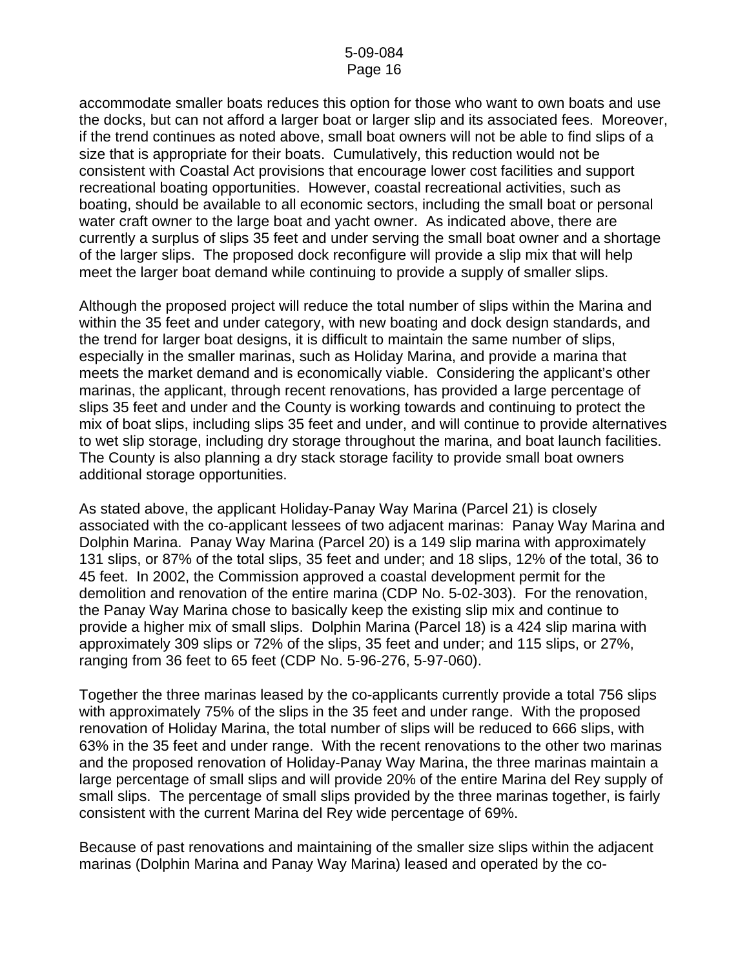accommodate smaller boats reduces this option for those who want to own boats and use the docks, but can not afford a larger boat or larger slip and its associated fees. Moreover, if the trend continues as noted above, small boat owners will not be able to find slips of a size that is appropriate for their boats. Cumulatively, this reduction would not be consistent with Coastal Act provisions that encourage lower cost facilities and support recreational boating opportunities. However, coastal recreational activities, such as boating, should be available to all economic sectors, including the small boat or personal water craft owner to the large boat and yacht owner. As indicated above, there are currently a surplus of slips 35 feet and under serving the small boat owner and a shortage of the larger slips. The proposed dock reconfigure will provide a slip mix that will help meet the larger boat demand while continuing to provide a supply of smaller slips.

Although the proposed project will reduce the total number of slips within the Marina and within the 35 feet and under category, with new boating and dock design standards, and the trend for larger boat designs, it is difficult to maintain the same number of slips, especially in the smaller marinas, such as Holiday Marina, and provide a marina that meets the market demand and is economically viable. Considering the applicant's other marinas, the applicant, through recent renovations, has provided a large percentage of slips 35 feet and under and the County is working towards and continuing to protect the mix of boat slips, including slips 35 feet and under, and will continue to provide alternatives to wet slip storage, including dry storage throughout the marina, and boat launch facilities. The County is also planning a dry stack storage facility to provide small boat owners additional storage opportunities.

As stated above, the applicant Holiday-Panay Way Marina (Parcel 21) is closely associated with the co-applicant lessees of two adjacent marinas: Panay Way Marina and Dolphin Marina. Panay Way Marina (Parcel 20) is a 149 slip marina with approximately 131 slips, or 87% of the total slips, 35 feet and under; and 18 slips, 12% of the total, 36 to 45 feet. In 2002, the Commission approved a coastal development permit for the demolition and renovation of the entire marina (CDP No. 5-02-303). For the renovation, the Panay Way Marina chose to basically keep the existing slip mix and continue to provide a higher mix of small slips. Dolphin Marina (Parcel 18) is a 424 slip marina with approximately 309 slips or 72% of the slips, 35 feet and under; and 115 slips, or 27%, ranging from 36 feet to 65 feet (CDP No. 5-96-276, 5-97-060).

Together the three marinas leased by the co-applicants currently provide a total 756 slips with approximately 75% of the slips in the 35 feet and under range. With the proposed renovation of Holiday Marina, the total number of slips will be reduced to 666 slips, with 63% in the 35 feet and under range. With the recent renovations to the other two marinas and the proposed renovation of Holiday-Panay Way Marina, the three marinas maintain a large percentage of small slips and will provide 20% of the entire Marina del Rey supply of small slips. The percentage of small slips provided by the three marinas together, is fairly consistent with the current Marina del Rey wide percentage of 69%.

Because of past renovations and maintaining of the smaller size slips within the adjacent marinas (Dolphin Marina and Panay Way Marina) leased and operated by the co-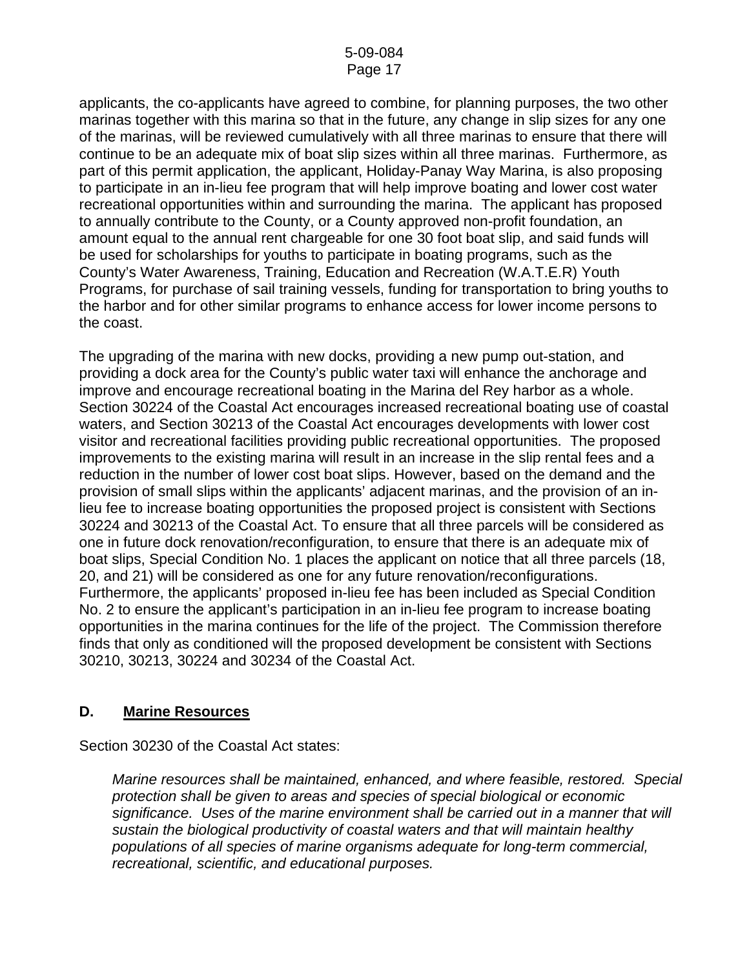applicants, the co-applicants have agreed to combine, for planning purposes, the two other marinas together with this marina so that in the future, any change in slip sizes for any one of the marinas, will be reviewed cumulatively with all three marinas to ensure that there will continue to be an adequate mix of boat slip sizes within all three marinas. Furthermore, as part of this permit application, the applicant, Holiday-Panay Way Marina, is also proposing to participate in an in-lieu fee program that will help improve boating and lower cost water recreational opportunities within and surrounding the marina. The applicant has proposed to annually contribute to the County, or a County approved non-profit foundation, an amount equal to the annual rent chargeable for one 30 foot boat slip, and said funds will be used for scholarships for youths to participate in boating programs, such as the County's Water Awareness, Training, Education and Recreation (W.A.T.E.R) Youth Programs, for purchase of sail training vessels, funding for transportation to bring youths to the harbor and for other similar programs to enhance access for lower income persons to the coast.

The upgrading of the marina with new docks, providing a new pump out-station, and providing a dock area for the County's public water taxi will enhance the anchorage and improve and encourage recreational boating in the Marina del Rey harbor as a whole. Section 30224 of the Coastal Act encourages increased recreational boating use of coastal waters, and Section 30213 of the Coastal Act encourages developments with lower cost visitor and recreational facilities providing public recreational opportunities. The proposed improvements to the existing marina will result in an increase in the slip rental fees and a reduction in the number of lower cost boat slips. However, based on the demand and the provision of small slips within the applicants' adjacent marinas, and the provision of an inlieu fee to increase boating opportunities the proposed project is consistent with Sections 30224 and 30213 of the Coastal Act. To ensure that all three parcels will be considered as one in future dock renovation/reconfiguration, to ensure that there is an adequate mix of boat slips, Special Condition No. 1 places the applicant on notice that all three parcels (18, 20, and 21) will be considered as one for any future renovation/reconfigurations. Furthermore, the applicants' proposed in-lieu fee has been included as Special Condition No. 2 to ensure the applicant's participation in an in-lieu fee program to increase boating opportunities in the marina continues for the life of the project. The Commission therefore finds that only as conditioned will the proposed development be consistent with Sections 30210, 30213, 30224 and 30234 of the Coastal Act.

# **D. Marine Resources**

Section 30230 of the Coastal Act states:

*Marine resources shall be maintained, enhanced, and where feasible, restored. Special protection shall be given to areas and species of special biological or economic significance. Uses of the marine environment shall be carried out in a manner that will sustain the biological productivity of coastal waters and that will maintain healthy populations of all species of marine organisms adequate for long-term commercial, recreational, scientific, and educational purposes.*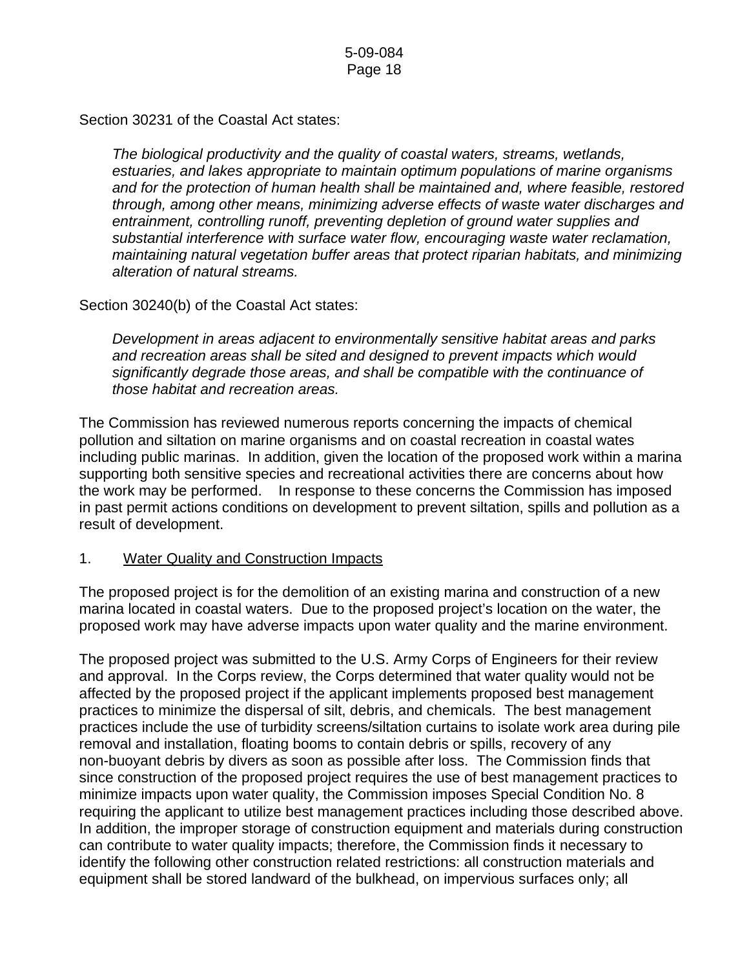Section 30231 of the Coastal Act states:

*The biological productivity and the quality of coastal waters, streams, wetlands, estuaries, and lakes appropriate to maintain optimum populations of marine organisms and for the protection of human health shall be maintained and, where feasible, restored through, among other means, minimizing adverse effects of waste water discharges and entrainment, controlling runoff, preventing depletion of ground water supplies and substantial interference with surface water flow, encouraging waste water reclamation, maintaining natural vegetation buffer areas that protect riparian habitats, and minimizing alteration of natural streams.* 

Section 30240(b) of the Coastal Act states:

*Development in areas adjacent to environmentally sensitive habitat areas and parks and recreation areas shall be sited and designed to prevent impacts which would significantly degrade those areas, and shall be compatible with the continuance of those habitat and recreation areas.* 

The Commission has reviewed numerous reports concerning the impacts of chemical pollution and siltation on marine organisms and on coastal recreation in coastal wates including public marinas. In addition, given the location of the proposed work within a marina supporting both sensitive species and recreational activities there are concerns about how the work may be performed. In response to these concerns the Commission has imposed in past permit actions conditions on development to prevent siltation, spills and pollution as a result of development.

# 1. Water Quality and Construction Impacts

The proposed project is for the demolition of an existing marina and construction of a new marina located in coastal waters. Due to the proposed project's location on the water, the proposed work may have adverse impacts upon water quality and the marine environment.

The proposed project was submitted to the U.S. Army Corps of Engineers for their review and approval. In the Corps review, the Corps determined that water quality would not be affected by the proposed project if the applicant implements proposed best management practices to minimize the dispersal of silt, debris, and chemicals. The best management practices include the use of turbidity screens/siltation curtains to isolate work area during pile removal and installation, floating booms to contain debris or spills, recovery of any non-buoyant debris by divers as soon as possible after loss. The Commission finds that since construction of the proposed project requires the use of best management practices to minimize impacts upon water quality, the Commission imposes Special Condition No. 8 requiring the applicant to utilize best management practices including those described above. In addition, the improper storage of construction equipment and materials during construction can contribute to water quality impacts; therefore, the Commission finds it necessary to identify the following other construction related restrictions: all construction materials and equipment shall be stored landward of the bulkhead, on impervious surfaces only; all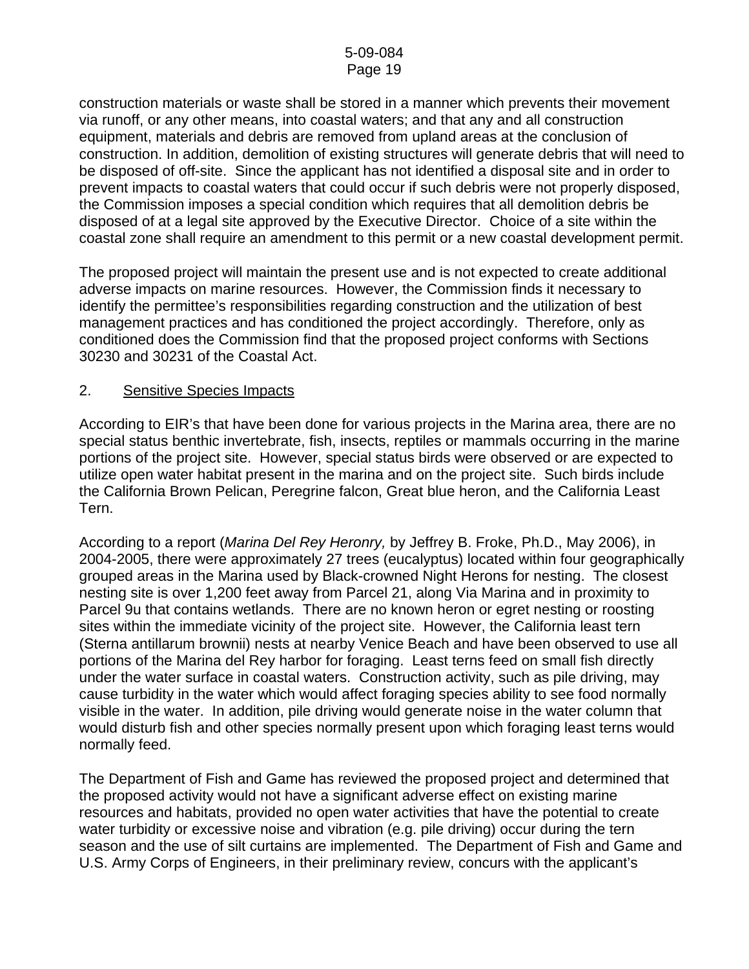construction materials or waste shall be stored in a manner which prevents their movement via runoff, or any other means, into coastal waters; and that any and all construction equipment, materials and debris are removed from upland areas at the conclusion of construction. In addition, demolition of existing structures will generate debris that will need to be disposed of off-site. Since the applicant has not identified a disposal site and in order to prevent impacts to coastal waters that could occur if such debris were not properly disposed, the Commission imposes a special condition which requires that all demolition debris be disposed of at a legal site approved by the Executive Director. Choice of a site within the coastal zone shall require an amendment to this permit or a new coastal development permit.

The proposed project will maintain the present use and is not expected to create additional adverse impacts on marine resources. However, the Commission finds it necessary to identify the permittee's responsibilities regarding construction and the utilization of best management practices and has conditioned the project accordingly. Therefore, only as conditioned does the Commission find that the proposed project conforms with Sections 30230 and 30231 of the Coastal Act.

#### 2. Sensitive Species Impacts

According to EIR's that have been done for various projects in the Marina area, there are no special status benthic invertebrate, fish, insects, reptiles or mammals occurring in the marine portions of the project site. However, special status birds were observed or are expected to utilize open water habitat present in the marina and on the project site. Such birds include the California Brown Pelican, Peregrine falcon, Great blue heron, and the California Least Tern.

According to a report (*Marina Del Rey Heronry,* by Jeffrey B. Froke, Ph.D., May 2006), in 2004-2005, there were approximately 27 trees (eucalyptus) located within four geographically grouped areas in the Marina used by Black-crowned Night Herons for nesting. The closest nesting site is over 1,200 feet away from Parcel 21, along Via Marina and in proximity to Parcel 9u that contains wetlands. There are no known heron or egret nesting or roosting sites within the immediate vicinity of the project site. However, the California least tern (Sterna antillarum brownii) nests at nearby Venice Beach and have been observed to use all portions of the Marina del Rey harbor for foraging. Least terns feed on small fish directly under the water surface in coastal waters. Construction activity, such as pile driving, may cause turbidity in the water which would affect foraging species ability to see food normally visible in the water. In addition, pile driving would generate noise in the water column that would disturb fish and other species normally present upon which foraging least terns would normally feed.

The Department of Fish and Game has reviewed the proposed project and determined that the proposed activity would not have a significant adverse effect on existing marine resources and habitats, provided no open water activities that have the potential to create water turbidity or excessive noise and vibration (e.g. pile driving) occur during the tern season and the use of silt curtains are implemented. The Department of Fish and Game and U.S. Army Corps of Engineers, in their preliminary review, concurs with the applicant's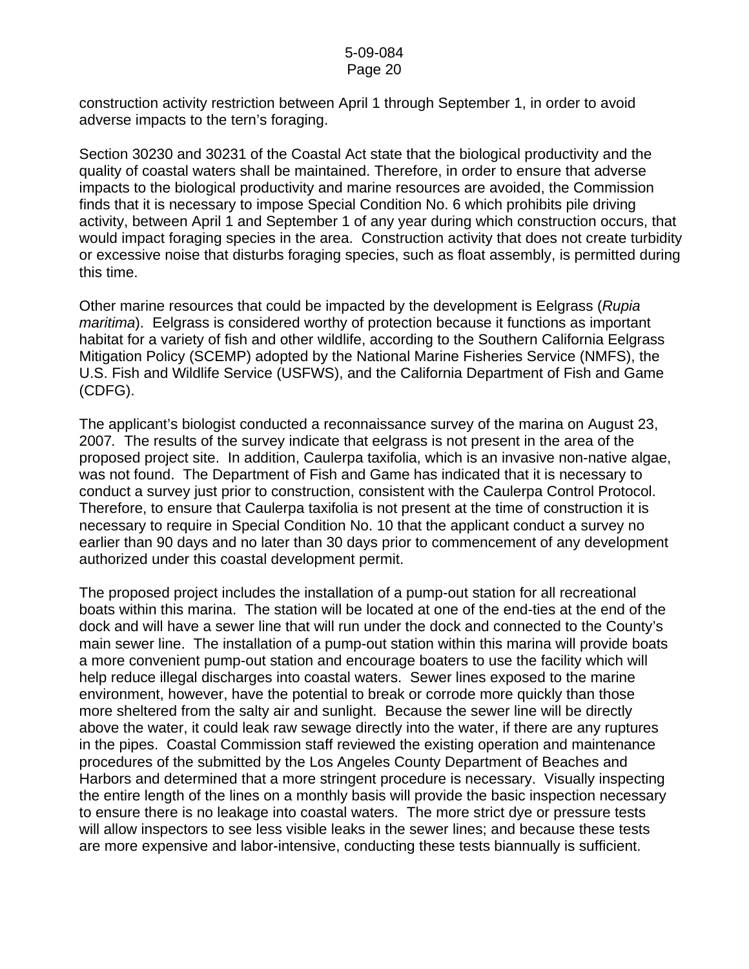construction activity restriction between April 1 through September 1, in order to avoid adverse impacts to the tern's foraging.

Section 30230 and 30231 of the Coastal Act state that the biological productivity and the quality of coastal waters shall be maintained. Therefore, in order to ensure that adverse impacts to the biological productivity and marine resources are avoided, the Commission finds that it is necessary to impose Special Condition No. 6 which prohibits pile driving activity, between April 1 and September 1 of any year during which construction occurs, that would impact foraging species in the area. Construction activity that does not create turbidity or excessive noise that disturbs foraging species, such as float assembly, is permitted during this time.

Other marine resources that could be impacted by the development is Eelgrass (*Rupia maritima*). Eelgrass is considered worthy of protection because it functions as important habitat for a variety of fish and other wildlife, according to the Southern California Eelgrass Mitigation Policy (SCEMP) adopted by the National Marine Fisheries Service (NMFS), the U.S. Fish and Wildlife Service (USFWS), and the California Department of Fish and Game (CDFG).

The applicant's biologist conducted a reconnaissance survey of the marina on August 23, 2007*.* The results of the survey indicate that eelgrass is not present in the area of the proposed project site. In addition, Caulerpa taxifolia, which is an invasive non-native algae, was not found. The Department of Fish and Game has indicated that it is necessary to conduct a survey just prior to construction, consistent with the Caulerpa Control Protocol. Therefore, to ensure that Caulerpa taxifolia is not present at the time of construction it is necessary to require in Special Condition No. 10 that the applicant conduct a survey no earlier than 90 days and no later than 30 days prior to commencement of any development authorized under this coastal development permit.

The proposed project includes the installation of a pump-out station for all recreational boats within this marina. The station will be located at one of the end-ties at the end of the dock and will have a sewer line that will run under the dock and connected to the County's main sewer line. The installation of a pump-out station within this marina will provide boats a more convenient pump-out station and encourage boaters to use the facility which will help reduce illegal discharges into coastal waters. Sewer lines exposed to the marine environment, however, have the potential to break or corrode more quickly than those more sheltered from the salty air and sunlight. Because the sewer line will be directly above the water, it could leak raw sewage directly into the water, if there are any ruptures in the pipes. Coastal Commission staff reviewed the existing operation and maintenance procedures of the submitted by the Los Angeles County Department of Beaches and Harbors and determined that a more stringent procedure is necessary. Visually inspecting the entire length of the lines on a monthly basis will provide the basic inspection necessary to ensure there is no leakage into coastal waters. The more strict dye or pressure tests will allow inspectors to see less visible leaks in the sewer lines; and because these tests are more expensive and labor-intensive, conducting these tests biannually is sufficient.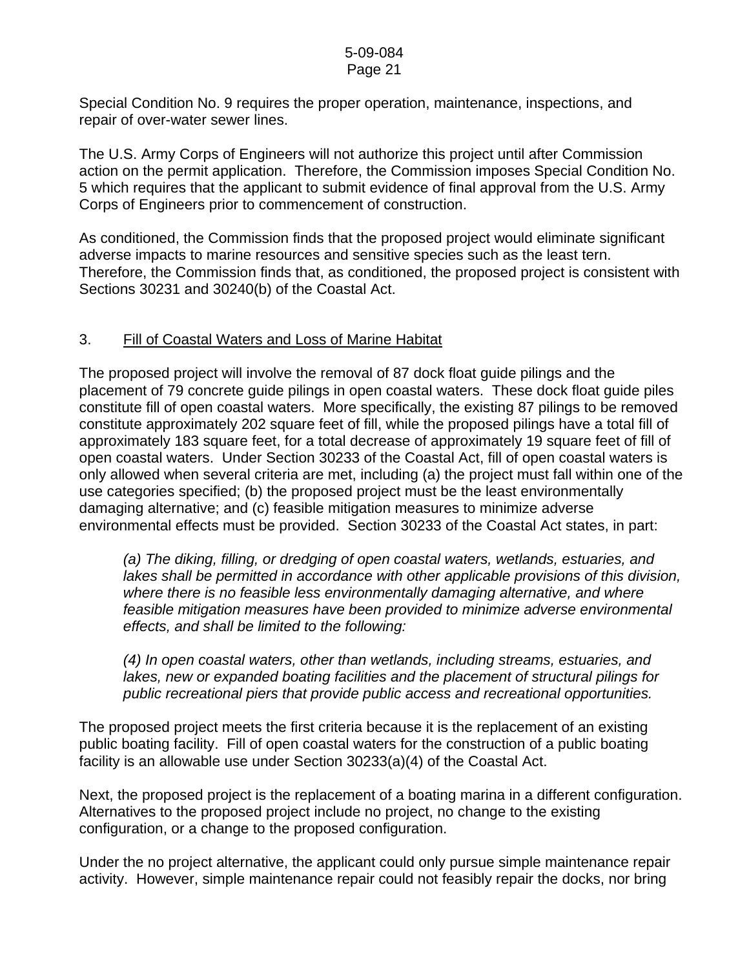Special Condition No. 9 requires the proper operation, maintenance, inspections, and repair of over-water sewer lines.

The U.S. Army Corps of Engineers will not authorize this project until after Commission action on the permit application. Therefore, the Commission imposes Special Condition No. 5 which requires that the applicant to submit evidence of final approval from the U.S. Army Corps of Engineers prior to commencement of construction.

As conditioned, the Commission finds that the proposed project would eliminate significant adverse impacts to marine resources and sensitive species such as the least tern. Therefore, the Commission finds that, as conditioned, the proposed project is consistent with Sections 30231 and 30240(b) of the Coastal Act.

# 3. Fill of Coastal Waters and Loss of Marine Habitat

The proposed project will involve the removal of 87 dock float guide pilings and the placement of 79 concrete guide pilings in open coastal waters. These dock float guide piles constitute fill of open coastal waters. More specifically, the existing 87 pilings to be removed constitute approximately 202 square feet of fill, while the proposed pilings have a total fill of approximately 183 square feet, for a total decrease of approximately 19 square feet of fill of open coastal waters. Under Section 30233 of the Coastal Act, fill of open coastal waters is only allowed when several criteria are met, including (a) the project must fall within one of the use categories specified; (b) the proposed project must be the least environmentally damaging alternative; and (c) feasible mitigation measures to minimize adverse environmental effects must be provided. Section 30233 of the Coastal Act states, in part:

*(a) The diking, filling, or dredging of open coastal waters, wetlands, estuaries, and lakes shall be permitted in accordance with other applicable provisions of this division, where there is no feasible less environmentally damaging alternative, and where feasible mitigation measures have been provided to minimize adverse environmental effects, and shall be limited to the following:* 

*(4) In open coastal waters, other than wetlands, including streams, estuaries, and lakes, new or expanded boating facilities and the placement of structural pilings for public recreational piers that provide public access and recreational opportunities.* 

The proposed project meets the first criteria because it is the replacement of an existing public boating facility. Fill of open coastal waters for the construction of a public boating facility is an allowable use under Section 30233(a)(4) of the Coastal Act.

Next, the proposed project is the replacement of a boating marina in a different configuration. Alternatives to the proposed project include no project, no change to the existing configuration, or a change to the proposed configuration.

Under the no project alternative, the applicant could only pursue simple maintenance repair activity. However, simple maintenance repair could not feasibly repair the docks, nor bring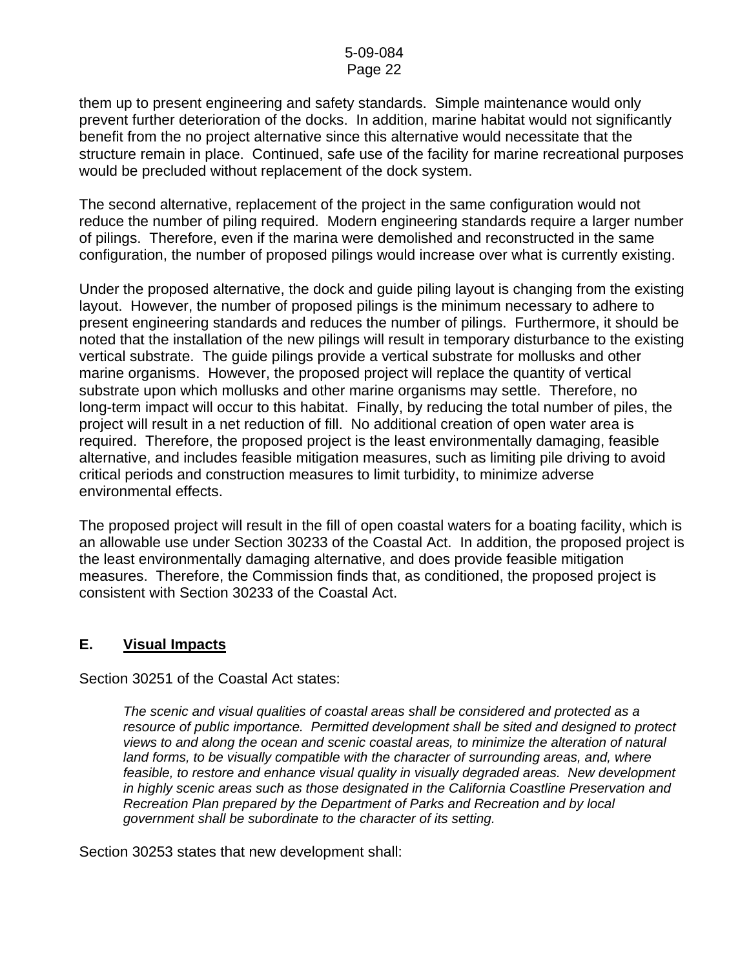them up to present engineering and safety standards. Simple maintenance would only prevent further deterioration of the docks. In addition, marine habitat would not significantly benefit from the no project alternative since this alternative would necessitate that the structure remain in place. Continued, safe use of the facility for marine recreational purposes would be precluded without replacement of the dock system.

The second alternative, replacement of the project in the same configuration would not reduce the number of piling required. Modern engineering standards require a larger number of pilings. Therefore, even if the marina were demolished and reconstructed in the same configuration, the number of proposed pilings would increase over what is currently existing.

Under the proposed alternative, the dock and guide piling layout is changing from the existing layout. However, the number of proposed pilings is the minimum necessary to adhere to present engineering standards and reduces the number of pilings. Furthermore, it should be noted that the installation of the new pilings will result in temporary disturbance to the existing vertical substrate. The guide pilings provide a vertical substrate for mollusks and other marine organisms. However, the proposed project will replace the quantity of vertical substrate upon which mollusks and other marine organisms may settle. Therefore, no long-term impact will occur to this habitat. Finally, by reducing the total number of piles, the project will result in a net reduction of fill. No additional creation of open water area is required. Therefore, the proposed project is the least environmentally damaging, feasible alternative, and includes feasible mitigation measures, such as limiting pile driving to avoid critical periods and construction measures to limit turbidity, to minimize adverse environmental effects.

The proposed project will result in the fill of open coastal waters for a boating facility, which is an allowable use under Section 30233 of the Coastal Act. In addition, the proposed project is the least environmentally damaging alternative, and does provide feasible mitigation measures. Therefore, the Commission finds that, as conditioned, the proposed project is consistent with Section 30233 of the Coastal Act.

# **E. Visual Impacts**

Section 30251 of the Coastal Act states:

*The scenic and visual qualities of coastal areas shall be considered and protected as a resource of public importance. Permitted development shall be sited and designed to protect views to and along the ocean and scenic coastal areas, to minimize the alteration of natural*  land forms, to be visually compatible with the character of surrounding areas, and, where *feasible, to restore and enhance visual quality in visually degraded areas. New development in highly scenic areas such as those designated in the California Coastline Preservation and Recreation Plan prepared by the Department of Parks and Recreation and by local government shall be subordinate to the character of its setting.* 

Section 30253 states that new development shall: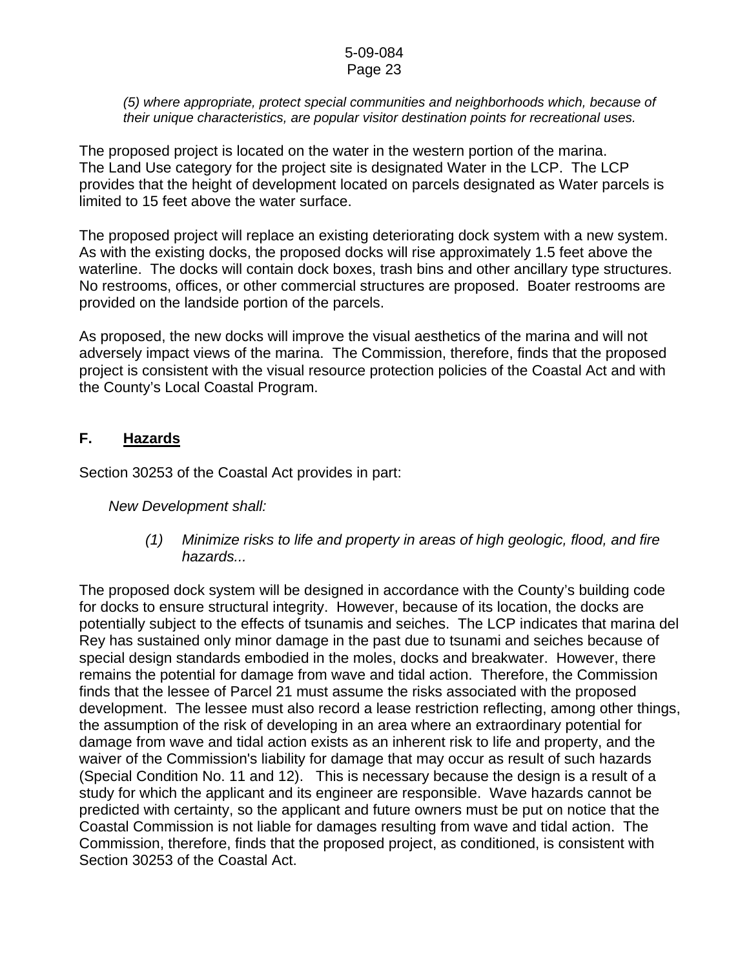#### *(5) where appropriate, protect special communities and neighborhoods which, because of their unique characteristics, are popular visitor destination points for recreational uses.*

The proposed project is located on the water in the western portion of the marina. The Land Use category for the project site is designated Water in the LCP. The LCP provides that the height of development located on parcels designated as Water parcels is limited to 15 feet above the water surface.

The proposed project will replace an existing deteriorating dock system with a new system. As with the existing docks, the proposed docks will rise approximately 1.5 feet above the waterline. The docks will contain dock boxes, trash bins and other ancillary type structures. No restrooms, offices, or other commercial structures are proposed. Boater restrooms are provided on the landside portion of the parcels.

As proposed, the new docks will improve the visual aesthetics of the marina and will not adversely impact views of the marina. The Commission, therefore, finds that the proposed project is consistent with the visual resource protection policies of the Coastal Act and with the County's Local Coastal Program.

# **F. Hazards**

Section 30253 of the Coastal Act provides in part:

*New Development shall:* 

 *(1) Minimize risks to life and property in areas of high geologic, flood, and fire hazards...* 

The proposed dock system will be designed in accordance with the County's building code for docks to ensure structural integrity. However, because of its location, the docks are potentially subject to the effects of tsunamis and seiches. The LCP indicates that marina del Rey has sustained only minor damage in the past due to tsunami and seiches because of special design standards embodied in the moles, docks and breakwater. However, there remains the potential for damage from wave and tidal action. Therefore, the Commission finds that the lessee of Parcel 21 must assume the risks associated with the proposed development. The lessee must also record a lease restriction reflecting, among other things, the assumption of the risk of developing in an area where an extraordinary potential for damage from wave and tidal action exists as an inherent risk to life and property, and the waiver of the Commission's liability for damage that may occur as result of such hazards (Special Condition No. 11 and 12). This is necessary because the design is a result of a study for which the applicant and its engineer are responsible. Wave hazards cannot be predicted with certainty, so the applicant and future owners must be put on notice that the Coastal Commission is not liable for damages resulting from wave and tidal action. The Commission, therefore, finds that the proposed project, as conditioned, is consistent with Section 30253 of the Coastal Act.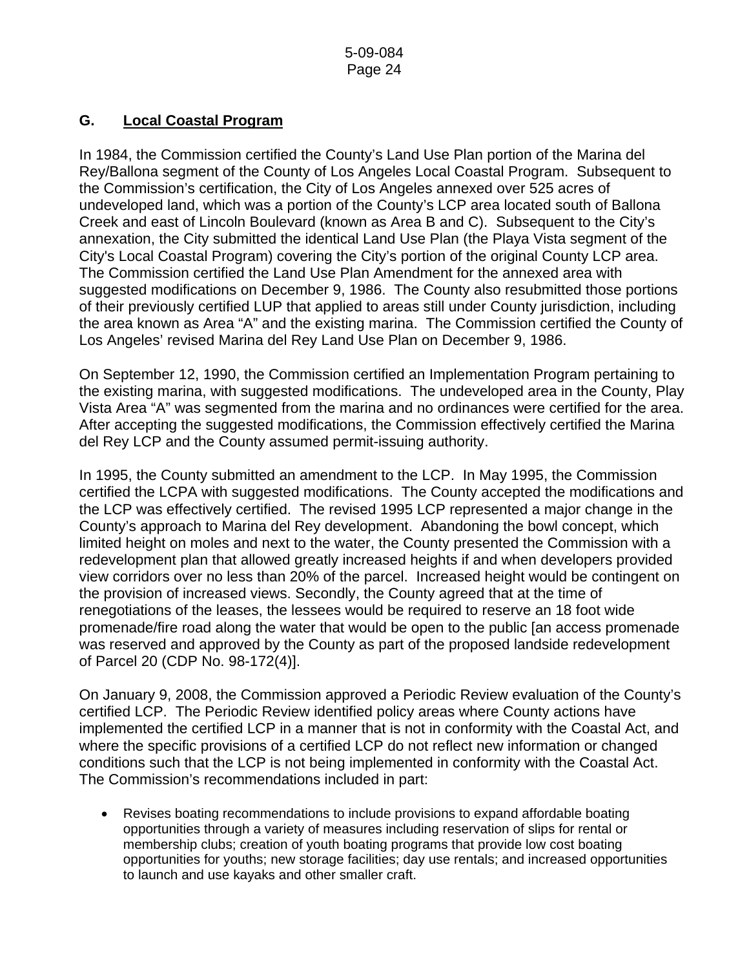# **G. Local Coastal Program**

In 1984, the Commission certified the County's Land Use Plan portion of the Marina del Rey/Ballona segment of the County of Los Angeles Local Coastal Program. Subsequent to the Commission's certification, the City of Los Angeles annexed over 525 acres of undeveloped land, which was a portion of the County's LCP area located south of Ballona Creek and east of Lincoln Boulevard (known as Area B and C). Subsequent to the City's annexation, the City submitted the identical Land Use Plan (the Playa Vista segment of the City's Local Coastal Program) covering the City's portion of the original County LCP area. The Commission certified the Land Use Plan Amendment for the annexed area with suggested modifications on December 9, 1986. The County also resubmitted those portions of their previously certified LUP that applied to areas still under County jurisdiction, including the area known as Area "A" and the existing marina. The Commission certified the County of Los Angeles' revised Marina del Rey Land Use Plan on December 9, 1986.

On September 12, 1990, the Commission certified an Implementation Program pertaining to the existing marina, with suggested modifications. The undeveloped area in the County, Play Vista Area "A" was segmented from the marina and no ordinances were certified for the area. After accepting the suggested modifications, the Commission effectively certified the Marina del Rey LCP and the County assumed permit-issuing authority.

In 1995, the County submitted an amendment to the LCP. In May 1995, the Commission certified the LCPA with suggested modifications. The County accepted the modifications and the LCP was effectively certified. The revised 1995 LCP represented a major change in the County's approach to Marina del Rey development. Abandoning the bowl concept, which limited height on moles and next to the water, the County presented the Commission with a redevelopment plan that allowed greatly increased heights if and when developers provided view corridors over no less than 20% of the parcel. Increased height would be contingent on the provision of increased views. Secondly, the County agreed that at the time of renegotiations of the leases, the lessees would be required to reserve an 18 foot wide promenade/fire road along the water that would be open to the public [an access promenade was reserved and approved by the County as part of the proposed landside redevelopment of Parcel 20 (CDP No. 98-172(4)].

On January 9, 2008, the Commission approved a Periodic Review evaluation of the County's certified LCP. The Periodic Review identified policy areas where County actions have implemented the certified LCP in a manner that is not in conformity with the Coastal Act, and where the specific provisions of a certified LCP do not reflect new information or changed conditions such that the LCP is not being implemented in conformity with the Coastal Act. The Commission's recommendations included in part:

• Revises boating recommendations to include provisions to expand affordable boating opportunities through a variety of measures including reservation of slips for rental or membership clubs; creation of youth boating programs that provide low cost boating opportunities for youths; new storage facilities; day use rentals; and increased opportunities to launch and use kayaks and other smaller craft.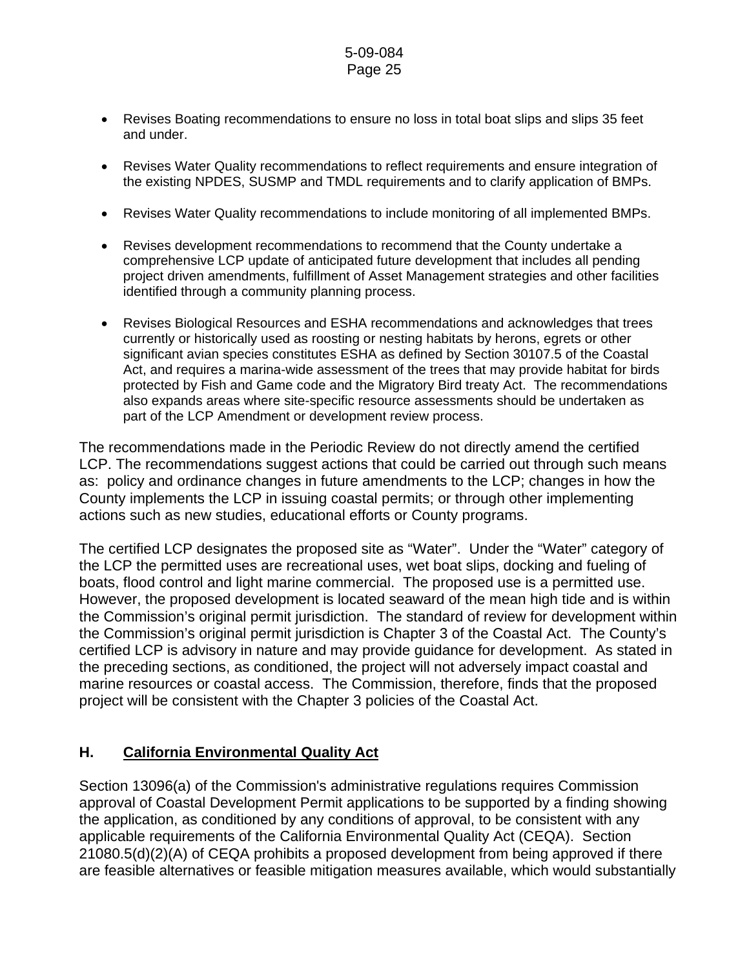- Revises Boating recommendations to ensure no loss in total boat slips and slips 35 feet and under.
- Revises Water Quality recommendations to reflect requirements and ensure integration of the existing NPDES, SUSMP and TMDL requirements and to clarify application of BMPs.
- Revises Water Quality recommendations to include monitoring of all implemented BMPs.
- Revises development recommendations to recommend that the County undertake a comprehensive LCP update of anticipated future development that includes all pending project driven amendments, fulfillment of Asset Management strategies and other facilities identified through a community planning process.
- Revises Biological Resources and ESHA recommendations and acknowledges that trees currently or historically used as roosting or nesting habitats by herons, egrets or other significant avian species constitutes ESHA as defined by Section 30107.5 of the Coastal Act, and requires a marina-wide assessment of the trees that may provide habitat for birds protected by Fish and Game code and the Migratory Bird treaty Act. The recommendations also expands areas where site-specific resource assessments should be undertaken as part of the LCP Amendment or development review process.

The recommendations made in the Periodic Review do not directly amend the certified LCP. The recommendations suggest actions that could be carried out through such means as: policy and ordinance changes in future amendments to the LCP; changes in how the County implements the LCP in issuing coastal permits; or through other implementing actions such as new studies, educational efforts or County programs.

The certified LCP designates the proposed site as "Water". Under the "Water" category of the LCP the permitted uses are recreational uses, wet boat slips, docking and fueling of boats, flood control and light marine commercial. The proposed use is a permitted use. However, the proposed development is located seaward of the mean high tide and is within the Commission's original permit jurisdiction. The standard of review for development within the Commission's original permit jurisdiction is Chapter 3 of the Coastal Act. The County's certified LCP is advisory in nature and may provide guidance for development. As stated in the preceding sections, as conditioned, the project will not adversely impact coastal and marine resources or coastal access. The Commission, therefore, finds that the proposed project will be consistent with the Chapter 3 policies of the Coastal Act.

# **H. California Environmental Quality Act**

Section 13096(a) of the Commission's administrative regulations requires Commission approval of Coastal Development Permit applications to be supported by a finding showing the application, as conditioned by any conditions of approval, to be consistent with any applicable requirements of the California Environmental Quality Act (CEQA). Section 21080.5(d)(2)(A) of CEQA prohibits a proposed development from being approved if there are feasible alternatives or feasible mitigation measures available, which would substantially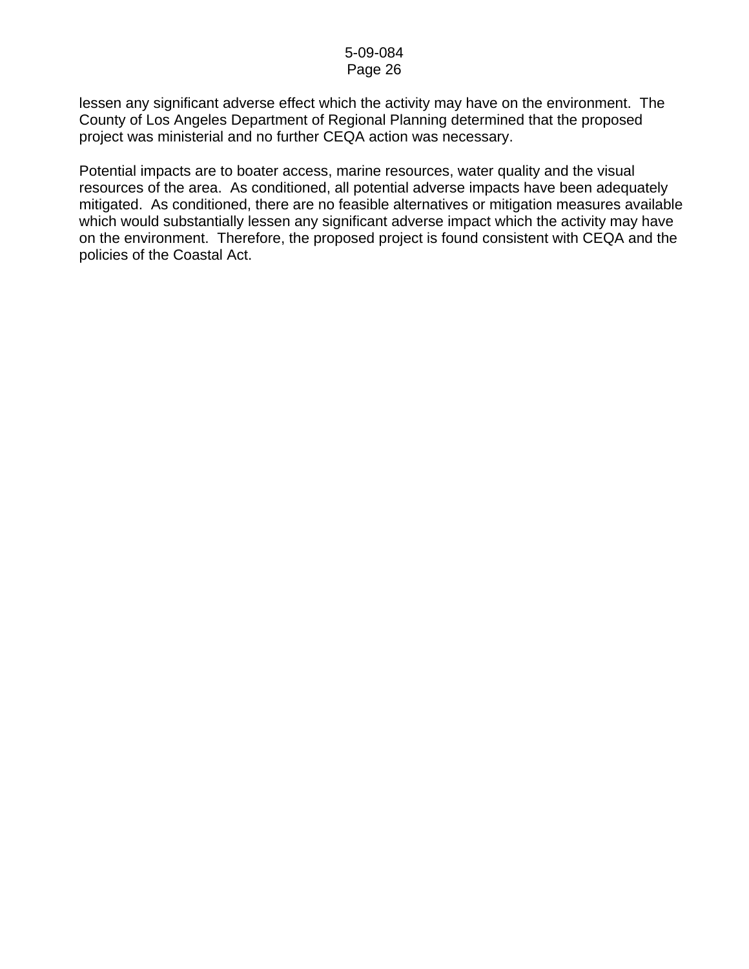lessen any significant adverse effect which the activity may have on the environment. The County of Los Angeles Department of Regional Planning determined that the proposed project was ministerial and no further CEQA action was necessary.

Potential impacts are to boater access, marine resources, water quality and the visual resources of the area. As conditioned, all potential adverse impacts have been adequately mitigated. As conditioned, there are no feasible alternatives or mitigation measures available which would substantially lessen any significant adverse impact which the activity may have on the environment. Therefore, the proposed project is found consistent with CEQA and the policies of the Coastal Act.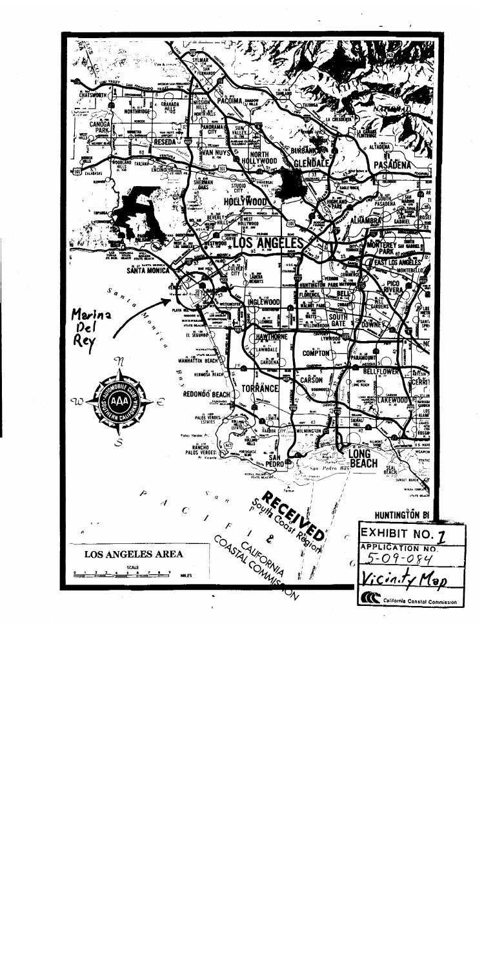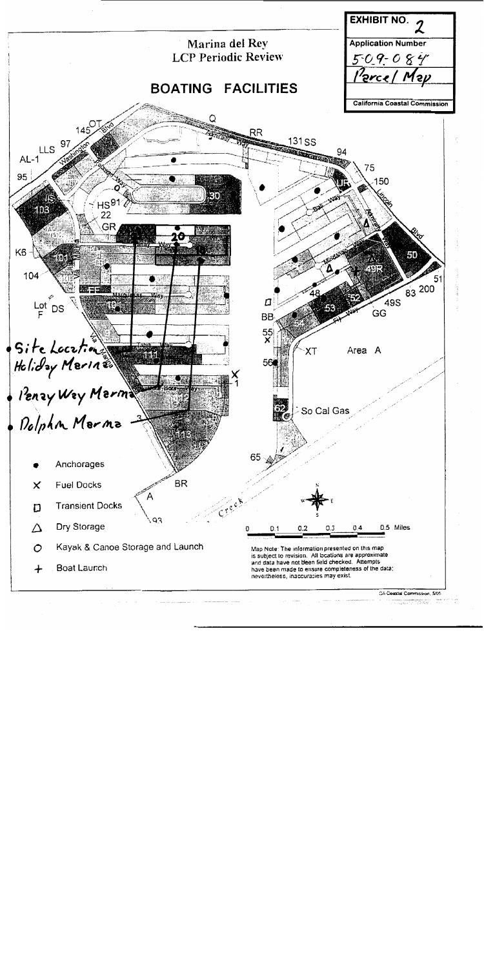

 $\mathcal{O}(\log n)$  is the set of  $\mathcal{O}$ معاضا

 $\frac{1}{\alpha}$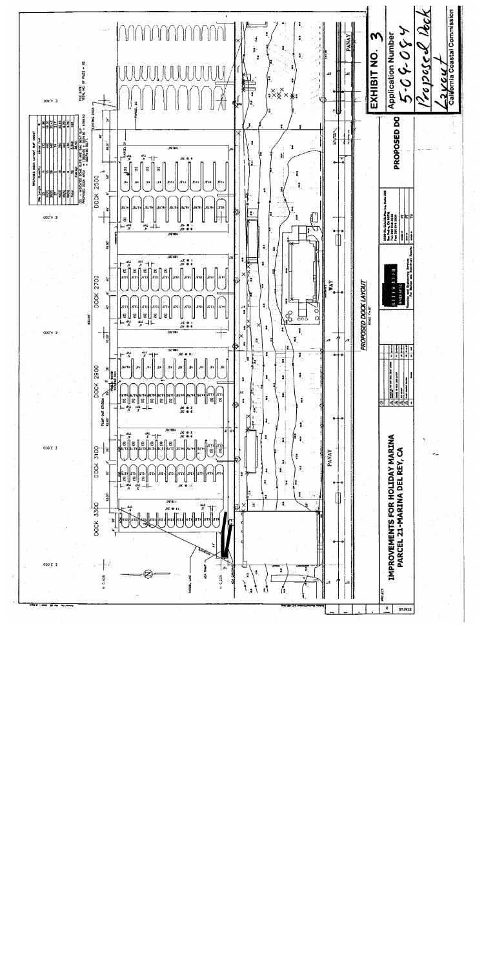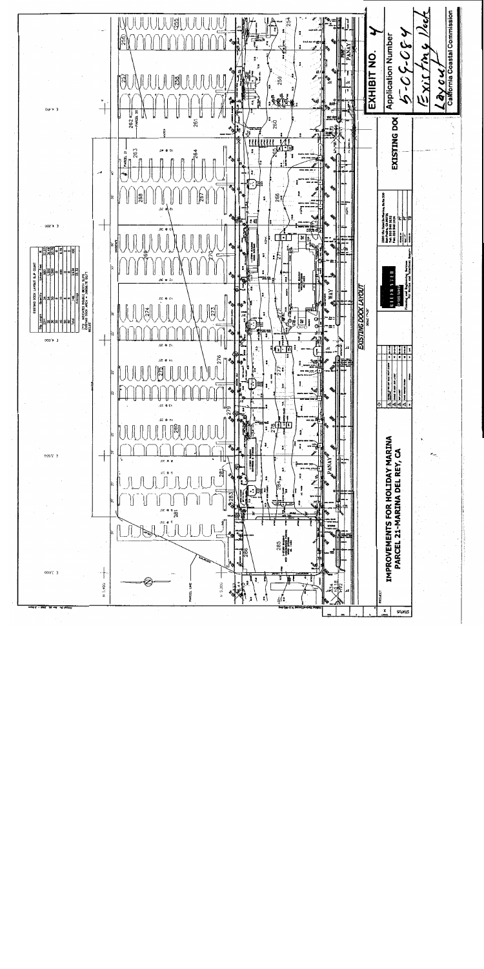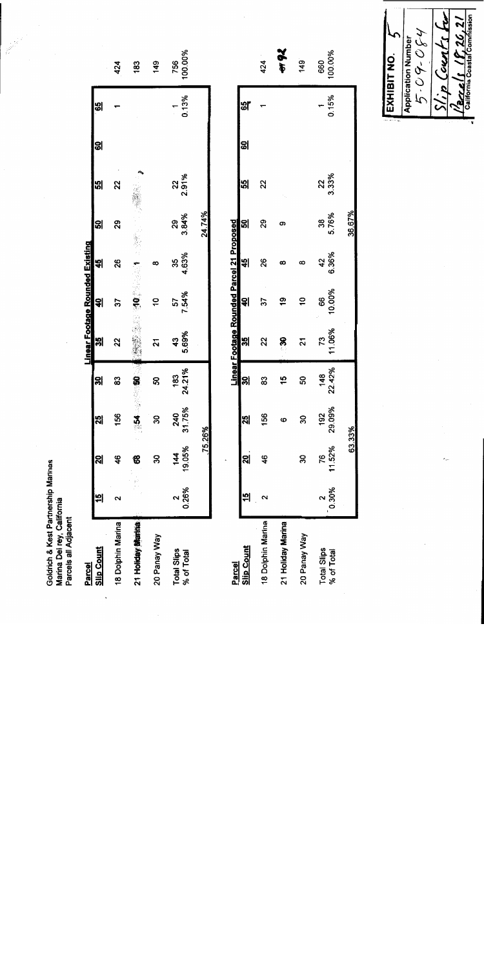| Parcels all Adjacent             |          |                          |                         |               |                                           |                |                                     |             |             |      |       |                |
|----------------------------------|----------|--------------------------|-------------------------|---------------|-------------------------------------------|----------------|-------------------------------------|-------------|-------------|------|-------|----------------|
| Parcel                           |          |                          |                         |               | Linear Footage Rounded Existing           |                |                                     |             |             |      |       |                |
| <b>Slip Count</b>                | 쒸        | ସ୍କା                     | 25                      | ၛၙ            | န္ကု                                      | 헤              | 쐐                                   | 욊           | 꾒           | ଞ୍ଜା | မ္မျ  |                |
| 18 Dolphin Marina                | ى        | 46                       | 156                     | 33            | 22                                        | 55             | 26                                  | 29          | 22          |      |       | 424            |
| 21 Holiday Marina                |          | 8                        | $M \sim$                |               |                                           | .<br>€         |                                     |             |             |      |       | 183            |
| 20 Panay Way                     |          | 30                       | ສ                       | ន             | 2                                         | ő              |                                     |             |             |      |       | 149            |
| Total Slips<br>% of Total        | 0.26%    | 19.05%<br>$\frac{14}{4}$ | 240<br>31.75%           | 24.21%<br>183 | 5.69%<br>43                               | 57<br>7.54%    | 4.63%<br>35                         | 3.84%<br>29 | 2.91%<br>22 |      | 0.13% | 100.00%<br>756 |
|                                  |          | 75.26%                   |                         |               |                                           |                |                                     | 24.74%      |             |      |       |                |
|                                  |          |                          |                         |               |                                           |                |                                     |             |             |      |       |                |
| Parcel                           |          |                          |                         |               | Linear Footage Rounded Parcel 21 Proposed |                |                                     |             |             |      |       |                |
| <b>Slip Count</b>                | 뷔        | <u>ସ</u>                 | $\overline{\mathbf{z}}$ | <u>ချ</u>     | ၛၟ                                        | 리              | 씲                                   | ଞ୍ଜା        | 꾒           | ଞ୍ଜା | ౻     |                |
| 18 Dolphin Marina                | ∾        | 46                       | 156                     | 83            | 22                                        | 22             | 26                                  | 29          | 22          |      |       | 424            |
| 21 Holiday Marina                |          |                          | ဖ                       | 15            | Ŗ,                                        | ల్ల            | ထ                                   | ග           |             |      |       | 41 92          |
| 20 Panay Way                     |          | వి                       | 30                      | SO            | 21                                        | $\overline{a}$ | ∞                                   |             |             |      |       | $rac{1}{49}$   |
| <b>Total Slips</b><br>% of Total | $0.30\%$ | 11.52%<br>76             | 29.09%<br>192           | 22.42%<br>148 | 11.06%<br>73                              | 10.00%<br>89   | 6.36%<br>$\boldsymbol{\mathcal{L}}$ | 5.76%<br>38 | 22<br>3.33% |      | 0.15% | 100.00%<br>660 |
|                                  |          |                          | 63.33%                  |               |                                           |                |                                     | 36.67%      |             |      |       |                |
|                                  |          |                          |                         |               |                                           |                |                                     |             |             |      |       |                |

Ŷ,

ý,

**College Report** 

Goldrich & Kest Partnership Marinas<br>Marina Del rey, California

Slip Counts for  $\frac{\rho_{\text{circle}}}{\rho_{\text{allow}}}\left| \frac{1}{\rho_{\text{model}}}\frac{1}{\rho_{\text{normalisation}}}\right|$ **Application Number**<br> $5 - C$   $9 - C$   $64$ EXHIBIT NO.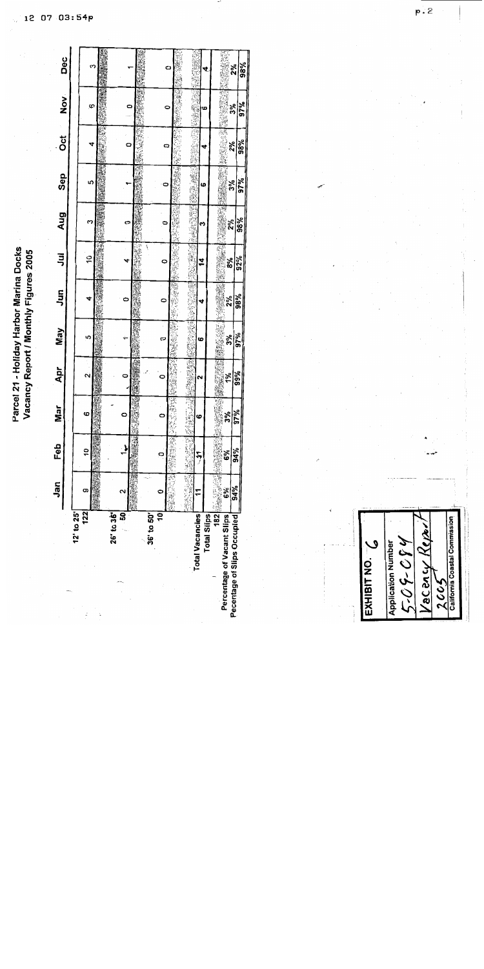Parcel 21 - Holiday Harbor Marina Docks Vacancy Report / Monthly Figures 2005

**Collegian** Dec  $\frac{2\%}{98\%}$  $\mathbf C$  $\sum_{i=1}^{n}$  $\frac{3\%}{97\%}$ O. O  $\circ$ Ę. ÿ  $\overline{o}$ 建造成学 No. 38%  $2\%$  $\circ$  $\overline{a}$ 4 急等 i. 海雪雪 Sep  $rac{3\%}{97\%}$ <u> ທ</u>  $\ddot{\bullet}$ 6 **Resident** 主管整体 Aug is a little 38% ू<br>२४  $\mathfrak{S}$ o  $\bullet$ M Ħ **1999年1月19日 1月11日 1月11日 1月11日 1月11日 1月11日 1月11日 1月11日 1月11日 1月11日 1月11日 1月11日 1月11日 1月11日 1月11日 1月1** 耳  $\overline{c}$  $rac{8}{6}$  $\tilde{z}$  $\circ$  $\frac{5}{2}$ 清潔  $\frac{2\%}{98\%}$ 4 Ò  $\circ$ Ñ  $\frac{376}{37\%}$ 調理 Septembrie May · 地线线 Š. c 6  $\frac{1}{100}$ <br> $\frac{1}{100}$ 学生的事件 地方地 **Section** Apr  $\dot{\mathbf{N}}$  $\bullet$  $\ddot{\phantom{1}}$  $\frac{3\%}{37\%}$ Mar i<br>Viite ဖ O  $\circ$ ဖ  $\frac{6\%}{6\%}$ line of Feb بل  $\tilde{a}$ i<br>Si  $\circ$  $\overline{7}$ Y. **182 Sandwicklub** Jan 34% 6% o ii<br>X  $\mathbf{\tilde{c}}$ Ŧ o 36' to 50'<br>10  $26'$  to  $36'$  $122$ 12' to 25' Total Vacancies Percentage of Vacant Slips<br>Pecentage of Slips Occupied Total Slips

California Coastal Commission Kepzi 2-03-624 **Application Number** EXHIBIT NO. /acancy  $2001$ 

12 07 03:54p

 $p \dot{2}$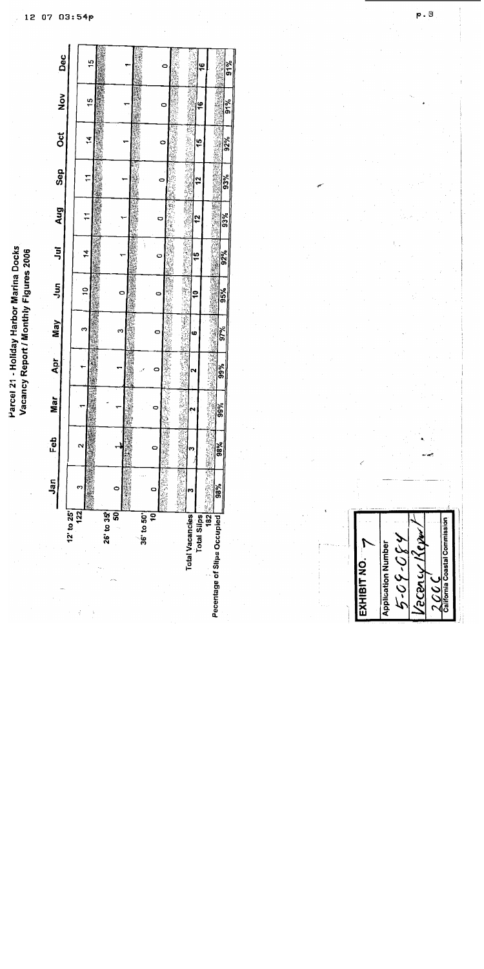Parcel 21 - Holiday Harbor Marina Docks Vacancy Report / Monthly Figures 2006

|                             | Jan                       | Feb | ă<br>≅ | Apr                  | May                | Ş             | 泻              | Aug       | Sep                     | ŏ         | $\frac{8}{2}$ | Dec |
|-----------------------------|---------------------------|-----|--------|----------------------|--------------------|---------------|----------------|-----------|-------------------------|-----------|---------------|-----|
| $12'$ to $25'$              |                           |     |        |                      |                    |               |                |           |                         |           |               |     |
| 122<br>ł                    | ო                         |     |        |                      | S                  | ă             | 4              |           |                         |           |               |     |
|                             |                           |     |        |                      |                    |               |                |           | ᡕ                       | ż         | 15            | 15  |
| 26' to 35                   |                           |     |        |                      |                    |               |                |           |                         |           |               |     |
|                             | ន្ល                       |     |        |                      | ო                  | o             |                |           |                         |           |               |     |
|                             |                           |     | Ų      |                      |                    |               |                |           |                         |           |               |     |
| 36 to 50                    |                           |     |        |                      |                    |               | ì              |           |                         |           |               |     |
| 9                           | c                         |     | c      | o                    | o                  |               | O              | o         | 0                       |           |               |     |
|                             |                           |     | Ý      |                      | Í                  |               |                |           |                         | 0         | 0             |     |
|                             | in 1993.<br>Ngjarje       |     | Ş<br>ļ | <b>Beller Linker</b> | í.<br>i,           | Ş             | <b>Capital</b> | <b>N</b>  | $\widehat{\mathcal{A}}$ |           |               |     |
| Total Vacancies             |                           |     |        |                      | ó<br>ţ             | ę             | ţ<br>5<br>1    | 2         |                         |           |               |     |
| <b>Total Slips</b>          |                           |     |        |                      |                    |               |                |           | 2                       | 45        | ۴             | ٩   |
|                             | 机油<br>$182$ ( $133$ $133$ |     | 隱<br>Ì | ā                    | <b>TELETFORMER</b> | <b>SHOWER</b> |                | 臘         | <b>September</b>        |           |               |     |
| Pecentage of Slips Occupied | 98%                       | 98% | 99%    | 99%                  | 97%                | 95%           | 92%            | 93%<br>聯導 | 93%                     | 92%<br>Î. |               |     |
|                             |                           |     |        |                      |                    |               |                |           |                         |           | 91%           | 91% |

California Coastal Commission econcy Kep 430-60-4 **Application Number** EXHIBIT NO.  $\rightarrow$ 200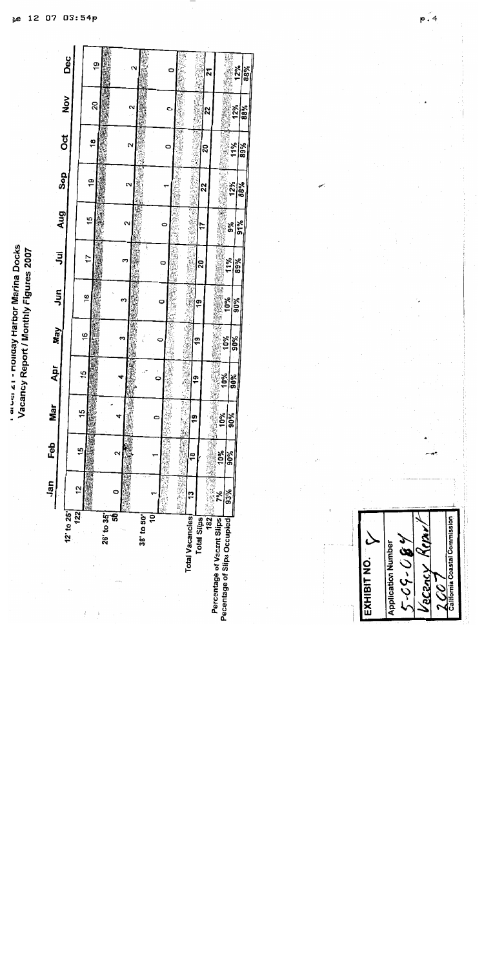| ⊒<br>vial. | Figures 200                                                                                    |
|------------|------------------------------------------------------------------------------------------------|
| ' Harbo    | Ξ<br>$\frac{1}{2}$                                                                             |
| loniqu     | lode                                                                                           |
| ì          | Ţ                                                                                              |
| こうこう       | ׆֧֪֕֓<br>֧֧֪֪֧֪֧֪֧֪ׅ֛֛֪֪֪֧֪֪֪֪֛֛֚֚֚֚֚֚֚֚֚֚֚֚֚֚֚֚֚֚֚֚֚֚֚֚֚֚֚֚֚֚֚֚֚֬֡֟֓֡֟֓֡֟֓֡֟֓֡֟֓֡֟֓֡֟֓֡֟֓֝֓֟֟ |
|            |                                                                                                |

|            | Dec        |               | é,         |   |                   |            |                        |   |                  |             | ম                          |                             | 12%        | <b>VO 3</b> |
|------------|------------|---------------|------------|---|-------------------|------------|------------------------|---|------------------|-------------|----------------------------|-----------------------------|------------|-------------|
|            | Nov        |               | 20         |   | Ν                 |            |                        | o |                  |             | ង្គ                        |                             | 12%        | 88%         |
|            | <b>Jot</b> |               | 18         |   | $\mathbf{\Omega}$ |            |                        | 0 |                  |             | 20                         |                             | 11%<br>89% |             |
|            | Sep        |               | ë          |   | ົ                 |            |                        |   |                  | ្ល          |                            | 12%                         | 88%        |             |
| Aug        |            | 15            |            |   | ี                 |            |                        | 0 |                  | ᡏ           |                            | å\$                         | 91%        |             |
| ミ          |            | t,            |            |   | ۳                 |            | o                      |   |                  | នុ          |                            | 11%                         | 89%        |             |
| Sig<br>Sig |            | 97            |            |   |                   |            | 0                      |   |                  | ë           |                            | $\frac{40\%}{90\%}$         |            |             |
| <b>May</b> |            | <u>ٰه</u>     |            | 3 |                   |            | 0                      |   |                  | ë           |                            | 10%                         | န္တြ       |             |
| <b>Apr</b> |            | 15            |            | च |                   |            | $\frac{1}{\mathbf{Q}}$ |   | 通报               | å           |                            | 10%                         | 90%        |             |
| Mar        |            | $\frac{5}{1}$ |            |   |                   |            |                        |   | 计算时数据<br>y.<br>ý | စ္          | 地地地地                       | 10%<br>90%                  |            |             |
| Feb        |            | 9             |            |   |                   |            |                        |   |                  | ᢟ           | ĺ                          | 10%<br>90%                  |            |             |
| Jan        |            | 12            |            | o |                   |            |                        | 3 | ï<br>ï<br>E.     | ä           | $182$                      | 93%<br>ž.                   |            |             |
|            | 12" to 25" | 122           | 25' to 35' | ę |                   | 36' to 50' | \$                     |   | Total Vacancies  | Total Slips | Percentage of Vacant Slips | Pecentage of Slips Occupied |            |             |
|            |            | ċ             |            |   |                   |            |                        |   |                  |             |                            |                             |            |             |

coastal Commission Application Number<br>5-C G - C G Y KCOL EXHIBIT NO. Yacsa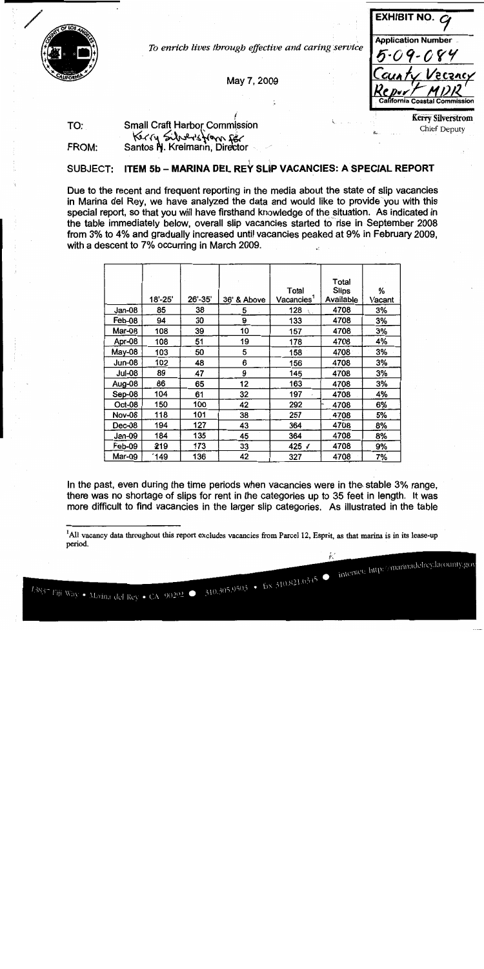

To enrich lives through effective and caring service

May 7, 2009

**EXHIBIT NO. Application Number** 

internet: http://marinadelrey.lacounty.gov

**Kerry Silverstrom** Chief Deputy

#### TO: **Small Craft Harbor Commission** Kerry Silversfrom For Santos N. Kreimann, Director FROM:

#### ITEM 5b - MARINA DEL REY SLIP VACANCIES: A SPECIAL REPORT SUBJECT:

Due to the recent and frequent reporting in the media about the state of slip vacancies in Marina del Rey, we have analyzed the data and would like to provide you with this special report, so that you will have firsthand knowledge of the situation. As indicated in the table immediately below, overall slip vacancies started to rise in September 2008 from 3% to 4% and gradually increased until vacancies peaked at 9% in February 2009, with a descent to 7% occurring in March 2009.

|               |         |         |             | Total                  | Total<br><b>Slips</b> | %      |
|---------------|---------|---------|-------------|------------------------|-----------------------|--------|
|               | 18'-25' | 26'-35' | 36' & Above | Vacancies <sup>1</sup> | Available             | Vacant |
| Jan-08        | 85      | 38      | 5           | 128                    | 4708                  | 3%     |
| Feb-08        | 94      | 30      | 9           | 133                    | 4708                  | 3%     |
| Mar-08        | 108     | 39      | 10          | 157                    | 4708                  | 3%     |
| Apr-08        | 108     | 51      | 19          | 178                    | 4708                  | 4%     |
| May-08        | 103     | 50      | 5           | 158                    | 4708                  | 3%     |
| Jun-08        | 102     | 48      | 6           | 156                    | 4708                  | 3%     |
| <b>Jul-08</b> | 89      | 47      | 9           | 145                    | 4708                  | 3%     |
| Aug-08        | 86      | 65      | 12          | 163                    | 4708                  | 3%     |
| Sep-08        | 104     | 61      | 32          | 197                    | 4708                  | 4%     |
| Oct-08        | 150     | 100     | 42          | 292                    | 4708                  | 6%     |
| <b>Nov-08</b> | 118     | 101     | 38          | 257                    | 4708                  | 5%     |
| Dec-08        | 194     | 127     | 43          | 364                    | 4708                  | 8%     |
| Jan-09        | 184     | 135     | 45          | 364                    | 4708                  | 8%     |
| Feb-09        | 219     | 173     | 33          | 425 ⊀                  | 4708                  | 9%     |
| <b>Mar-09</b> | *149    | 136     | 42          | 327                    | 4708                  | 7%     |

In the past, even during the time periods when vacancies were in the stable 3% range, there was no shortage of slips for rent in the categories up to 35 feet in length. It was more difficult to find vacancies in the larger slip categories. As illustrated in the table

<sup>&</sup>lt;sup>1</sup>All vacancy data throughout this report excludes vacancies from Parcel 12, Esprit, as that marina is in its lease-up period.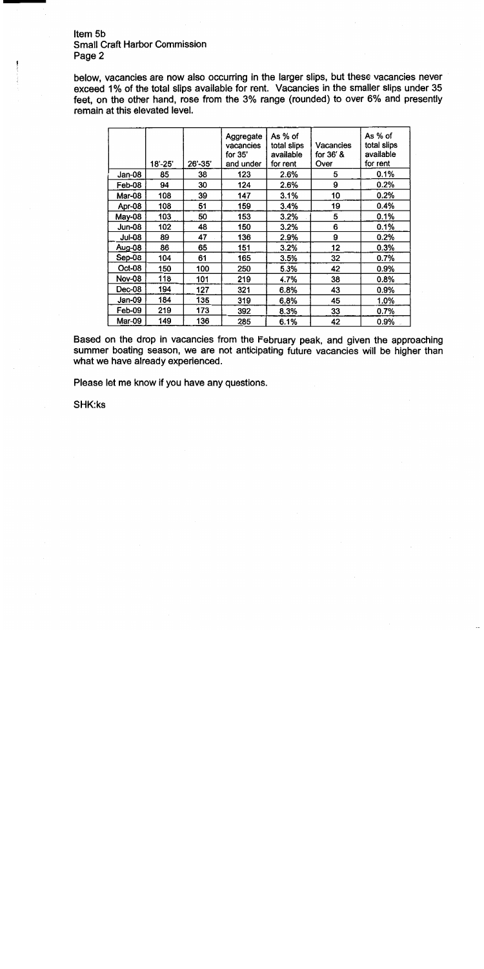#### Item 5b **Small Craft Harbor Commission** Page 2

below, vacancies are now also occurring in the larger slips, but these vacancies never exceed 1% of the total slips available for rent. Vacancies in the smaller slips under 35 feet, on the other hand, rose from the 3% range (rounded) to over 6% and presently remain at this elevated level.

|               | $18 - 25'$ | 26'-35' | Aggregate<br>vacancies<br>for 35'<br>and under | As % of<br>total slips<br>available<br>for rent | Vacancies<br>for 36' &<br>Over | As % of<br>total slips<br>available<br>for rent |
|---------------|------------|---------|------------------------------------------------|-------------------------------------------------|--------------------------------|-------------------------------------------------|
| Jan-08        | 85         | 38      | 123                                            | 2.6%                                            | 5                              | 0.1%                                            |
| Feb-08        | 94         | 30      | 124                                            | 2.6%                                            | 9                              | 0.2%                                            |
| Mar-08        | 108        | 39      | 147                                            | 3.1%                                            | 10                             | 0.2%                                            |
| Apr-08        | 108        | 51      | 159                                            | 3.4%                                            | 19                             | 0.4%                                            |
| May-08        | 103        | 50      | 153                                            | 3.2%                                            | 5                              | 0.1%                                            |
| Jun-08        | 102        | 48      | 150                                            | 3.2%                                            | 6                              | 0.1%                                            |
| Jul-08        | 89         | 47      | 136                                            | 2.9%                                            | 9                              | 0.2%                                            |
| Aug-08        | 86         | 65      | 151                                            | 3.2%                                            | 12                             | 0.3%                                            |
| Sep-08        | 104        | 61      | 165                                            | 3.5%                                            | 32                             | 0.7%                                            |
| Oct-08        | 150        | 100     | 250                                            | 5.3%                                            | 42                             | 0.9%                                            |
| <b>Nov-08</b> | 118        | 101     | 219                                            | 4.7%                                            | 38                             | 0.8%                                            |
| Dec-08        | 194        | 127     | 321                                            | 6.8%                                            | 43                             | 0.9%                                            |
| Jan-09        | 184        | 135     | 319                                            | 6.8%                                            | 45                             | 1.0%                                            |
| Feb-09        | 219        | 173     | 392                                            | 8.3%                                            | 33                             | 0.7%                                            |
| Mar-09        | 149        | 136     | 285                                            | 6.1%                                            | 42                             | 0.9%                                            |

Based on the drop in vacancies from the February peak, and given the approaching summer boating season, we are not anticipating future vacancies will be higher than what we have already experienced.

Please let me know if you have any questions.

SHK:ks